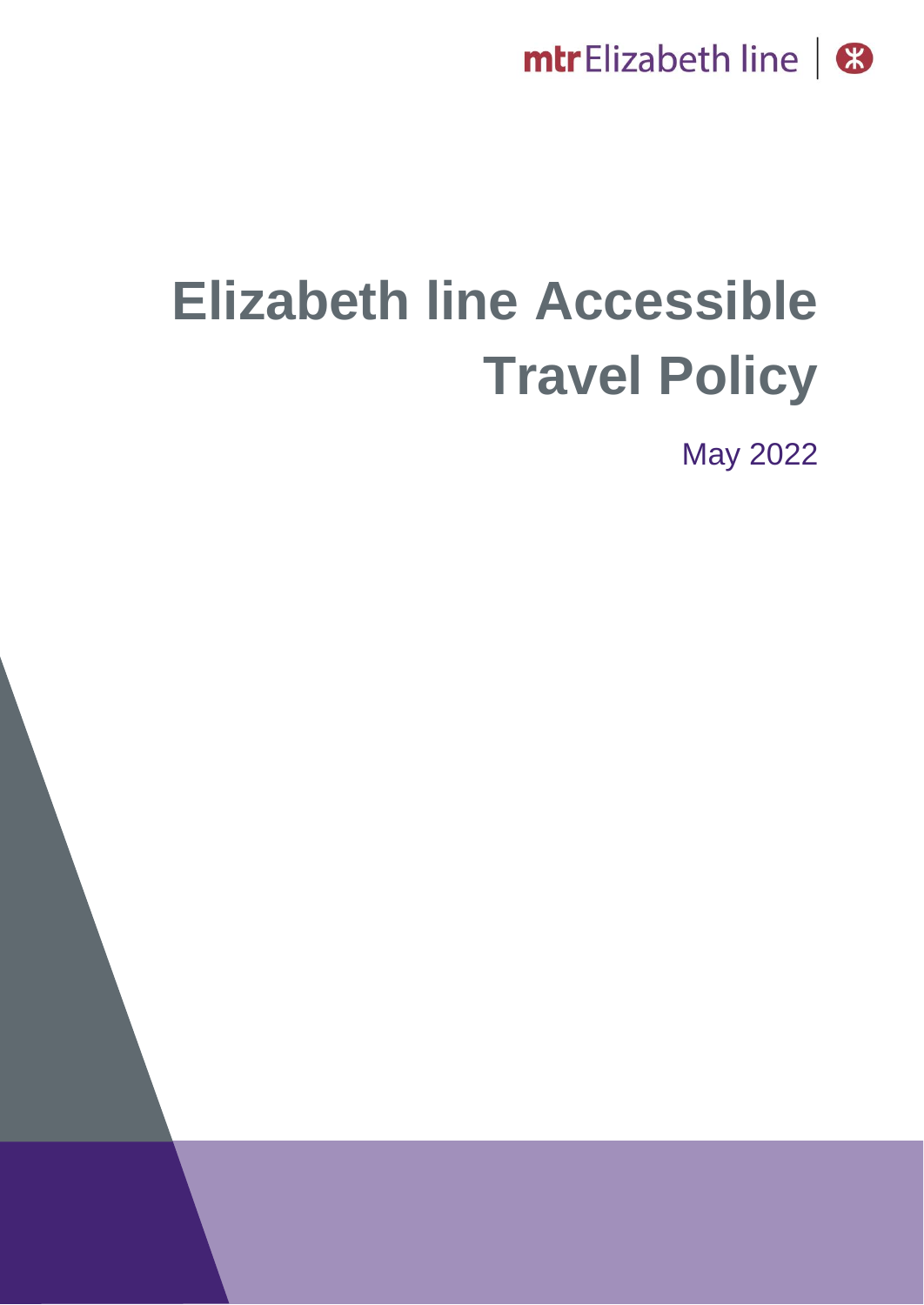

# **Elizabeth line Accessible Travel Policy**

May 2022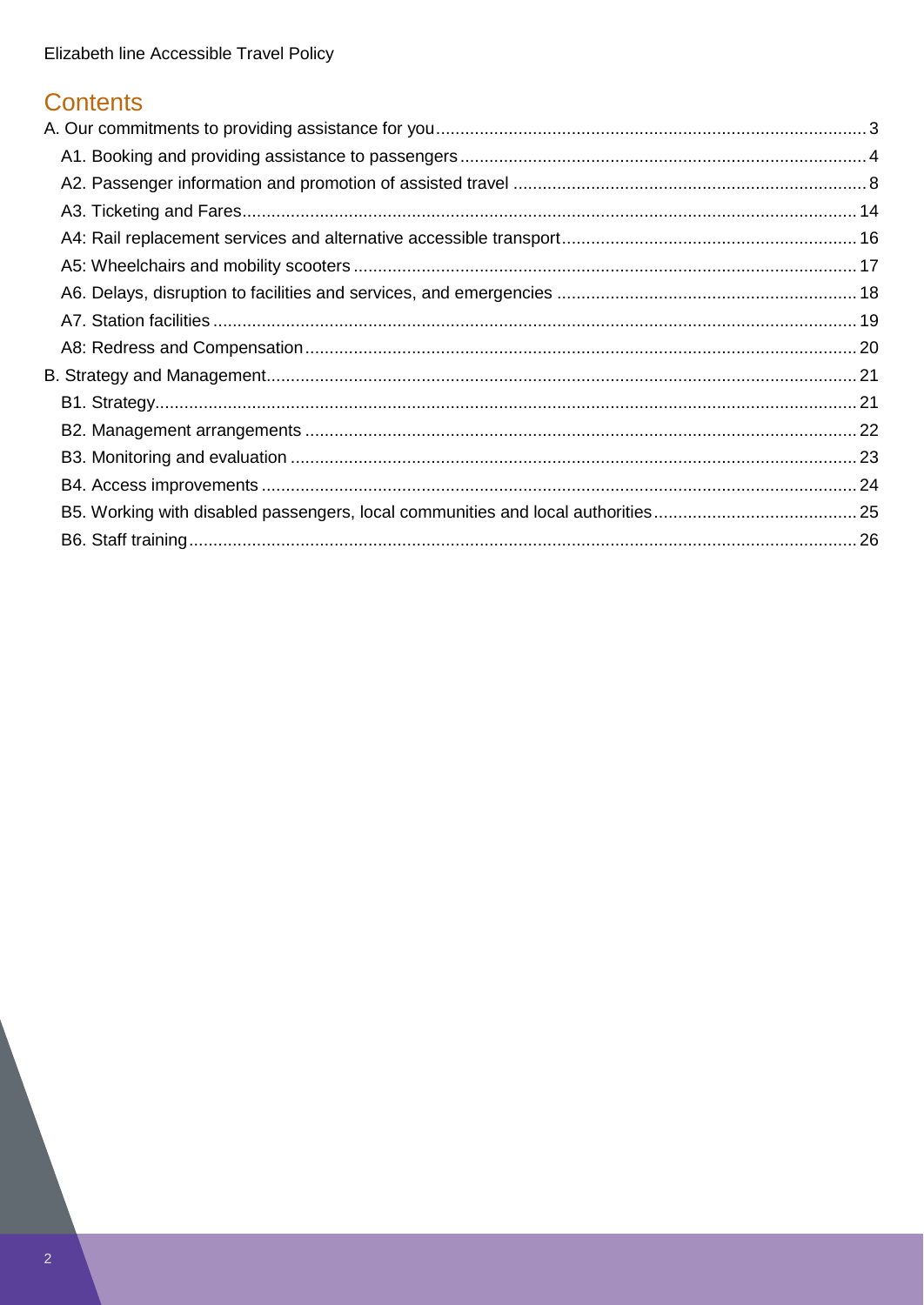## **Contents**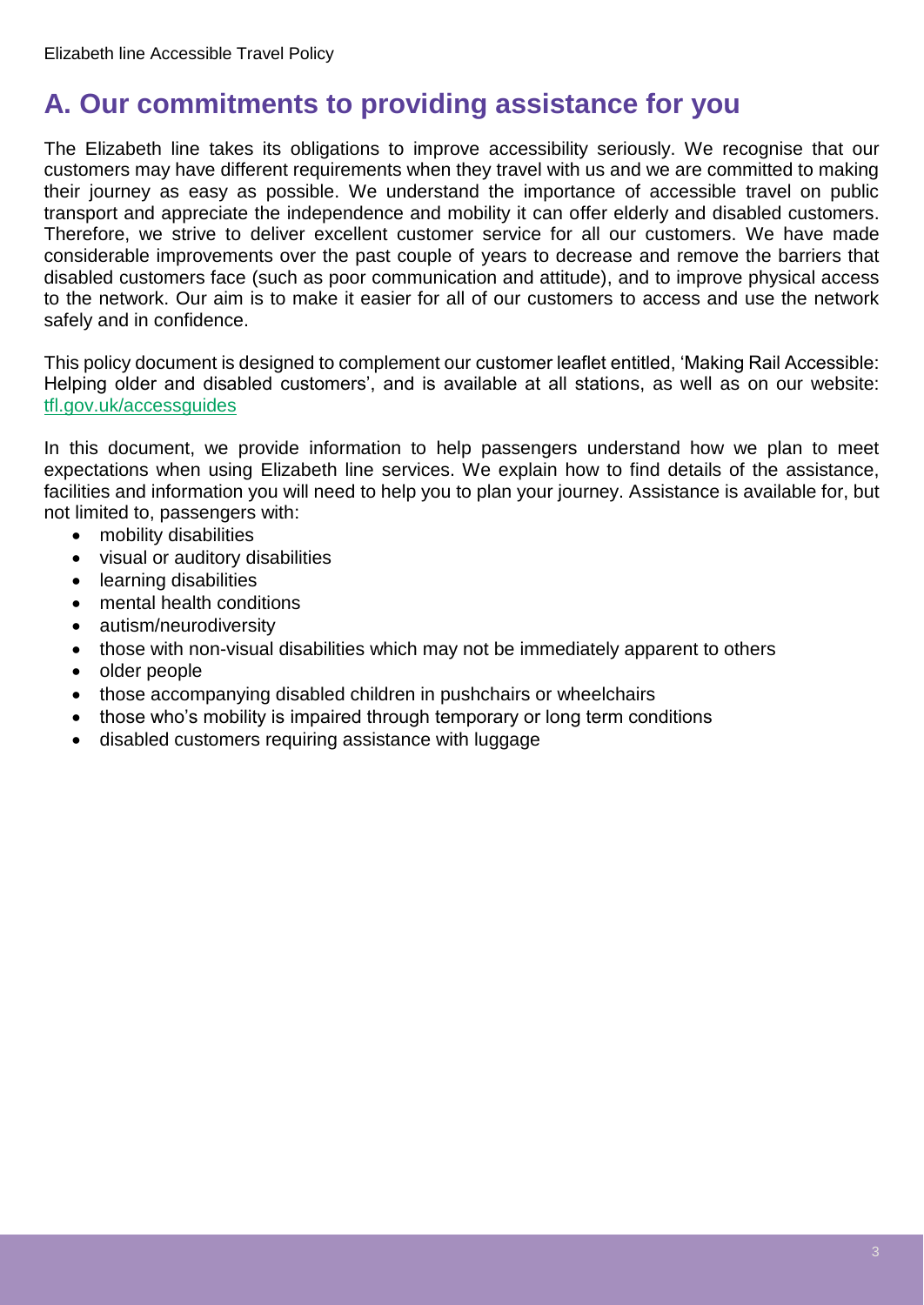## <span id="page-2-0"></span>**A. Our commitments to providing assistance for you**

The Elizabeth line takes its obligations to improve accessibility seriously. We recognise that our customers may have different requirements when they travel with us and we are committed to making their journey as easy as possible. We understand the importance of accessible travel on public transport and appreciate the independence and mobility it can offer elderly and disabled customers. Therefore, we strive to deliver excellent customer service for all our customers. We have made considerable improvements over the past couple of years to decrease and remove the barriers that disabled customers face (such as poor communication and attitude), and to improve physical access to the network. Our aim is to make it easier for all of our customers to access and use the network safely and in confidence.

This policy document is designed to complement our customer leaflet entitled, 'Making Rail Accessible: Helping older and disabled customers', and is available at all stations, as well as on our website: [tfl.gov.uk/accessguides](https://tfl.gov.uk/forms/12387.aspx?cid=accessguides)

In this document, we provide information to help passengers understand how we plan to meet expectations when using Elizabeth line services. We explain how to find details of the assistance, facilities and information you will need to help you to plan your journey. Assistance is available for, but not limited to, passengers with:

- mobility disabilities
- visual or auditory disabilities
- learning disabilities
- mental health conditions
- autism/neurodiversity
- those with non-visual disabilities which may not be immediately apparent to others
- older people
- those accompanying disabled children in pushchairs or wheelchairs
- those who's mobility is impaired through temporary or long term conditions
- disabled customers requiring assistance with luggage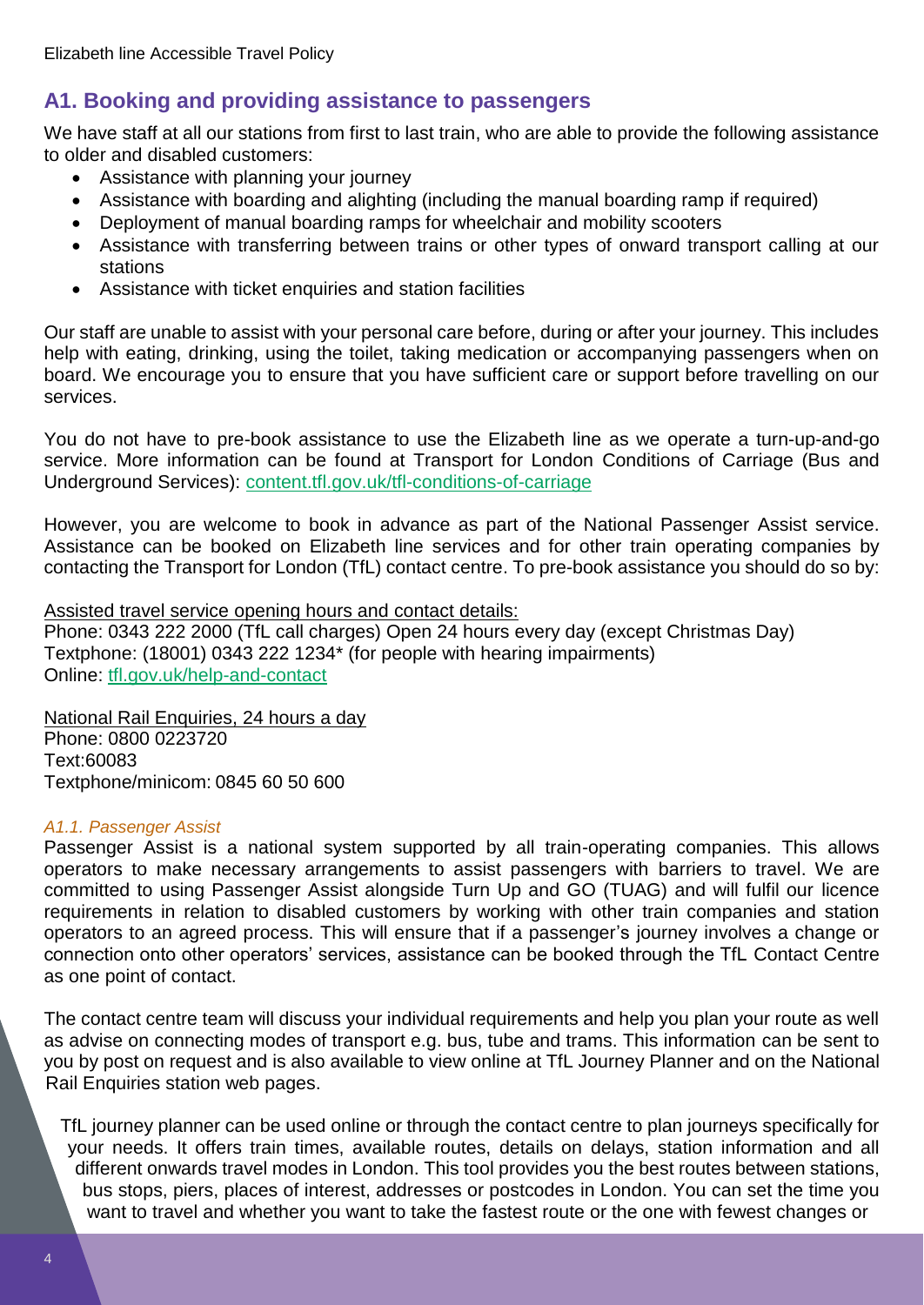## <span id="page-3-0"></span>**A1. Booking and providing assistance to passengers**

We have staff at all our stations from first to last train, who are able to provide the following assistance to older and disabled customers:

- Assistance with planning your journey
- Assistance with boarding and alighting (including the manual boarding ramp if required)
- Deployment of manual boarding ramps for wheelchair and mobility scooters
- Assistance with transferring between trains or other types of onward transport calling at our stations
- Assistance with ticket enquiries and station facilities

Our staff are unable to assist with your personal care before, during or after your journey. This includes help with eating, drinking, using the toilet, taking medication or accompanying passengers when on board. We encourage you to ensure that you have sufficient care or support before travelling on our services.

You do not have to pre-book assistance to use the Elizabeth line as we operate a turn-up-and-go service. More information can be found at Transport for London Conditions of Carriage (Bus and Underground Services): [content.tfl.gov.uk/tfl-conditions-of-carriage](https://content.tfl.gov.uk/tfl-conditions-of-carriage.pdf)

However, you are welcome to book in advance as part of the National Passenger Assist service. Assistance can be booked on Elizabeth line services and for other train operating companies by contacting the Transport for London (TfL) contact centre. To pre-book assistance you should do so by:

Assisted travel service opening hours and contact details:

Phone: 0343 222 2000 (TfL call charges) Open 24 hours every day (except Christmas Day) Textphone: (18001) 0343 222 1234\* (for people with hearing impairments) Online: [tfl.gov.uk/help-and-contact](https://tfl.gov.uk/help-and-contact/)

National Rail Enquiries, 24 hours a day Phone: 0800 0223720 Text:60083 Textphone/minicom: 0845 60 50 600

#### *A1.1. Passenger Assist*

Passenger Assist is a national system supported by all train-operating companies. This allows operators to make necessary arrangements to assist passengers with barriers to travel. We are committed to using Passenger Assist alongside Turn Up and GO (TUAG) and will fulfil our licence requirements in relation to disabled customers by working with other train companies and station operators to an agreed process. This will ensure that if a passenger's journey involves a change or connection onto other operators' services, assistance can be booked through the TfL Contact Centre as one point of contact.

The contact centre team will discuss your individual requirements and help you plan your route as well as advise on connecting modes of transport e.g. bus, tube and trams. This information can be sent to you by post on request and is also available to view online at TfL Journey Planner and on the National Rail Enquiries station web pages.

TfL journey planner can be used online or through the contact centre to plan journeys specifically for your needs. It offers train times, available routes, details on delays, station information and all different onwards travel modes in London. This tool provides you the best routes between stations, bus stops, piers, places of interest, addresses or postcodes in London. You can set the time you want to travel and whether you want to take the fastest route or the one with fewest changes or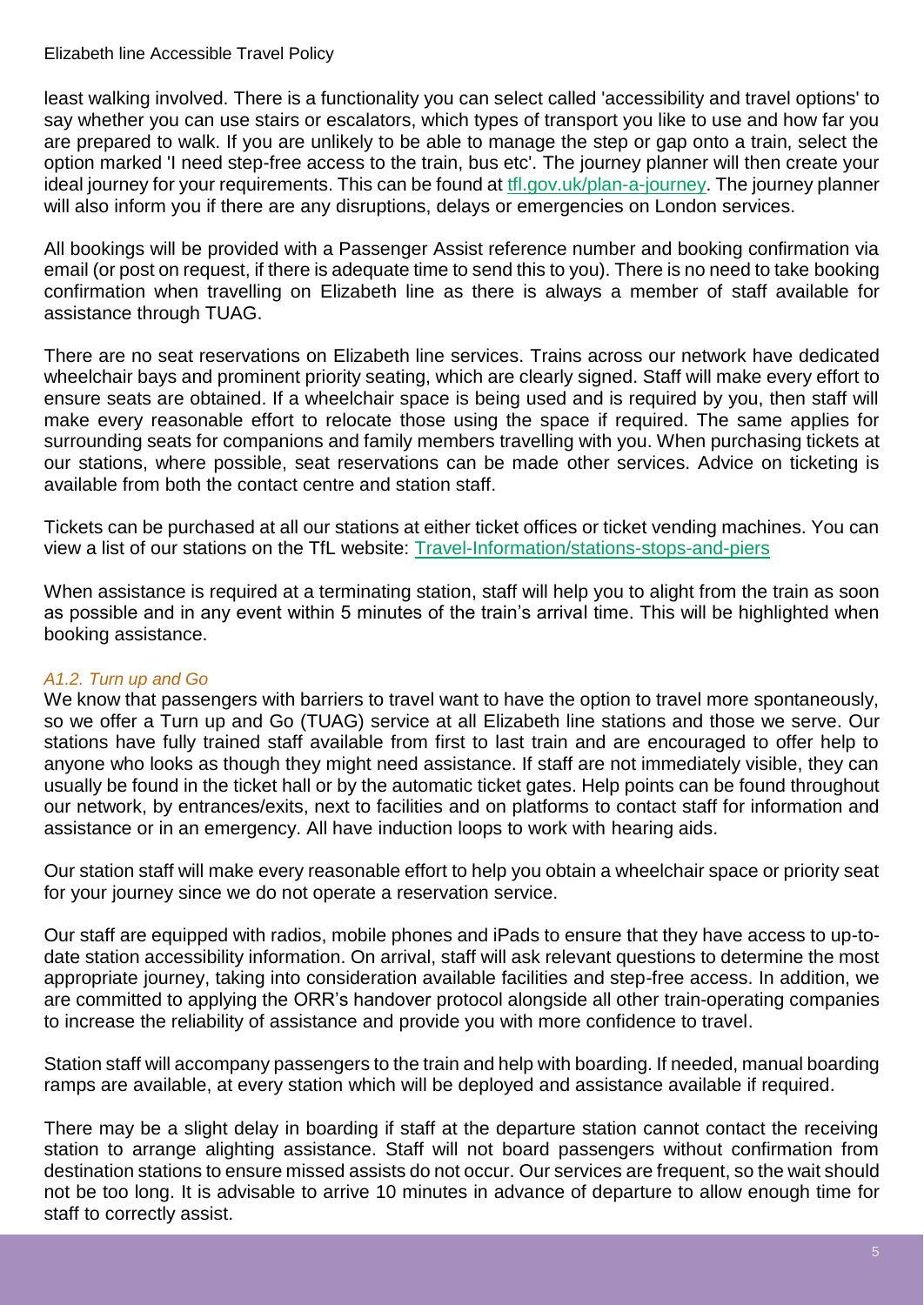Elizabeth line Accessible Travel Policy

least walking involved. There is a functionality you can select called 'accessibility and travel options' to say whether you can use stairs or escalators, which types of transport you like to use and how far you are prepared to walk. If you are unlikely to be able to manage the step or gap onto a train, select the option marked 'I need step-free access to the train, bus etc'. The journey planner will then create your ideal journey for your requirements. This can be found at [tfl.gov.uk/plan-a-journey.](https://tfl.gov.uk/plan-a-journey/?cid=plan-a-journey) The journey planner will also inform you if there are any disruptions, delays or emergencies on London services.

All bookings will be provided with a Passenger Assist reference number and booking confirmation via email (or post on request, if there is adequate time to send this to you). There is no need to take booking confirmation when travelling on Elizabeth line as there is always a member of staff available for assistance through TUAG.

There are no seat reservations on Elizabeth line services. Trains across our network have dedicated wheelchair bays and prominent priority seating, which are clearly signed. Staff will make every effort to ensure seats are obtained. If a wheelchair space is being used and is required by you, then staff will make every reasonable effort to relocate those using the space if required. The same applies for surrounding seats for companions and family members travelling with you. When purchasing tickets at our stations, where possible, seat reservations can be made other services. Advice on ticketing is available from both the contact centre and station staff.

Tickets can be purchased at all our stations at either ticket offices or ticket vending machines. You can view a list of our stations on the TfL website: [Travel-Information/stations-stops-and-piers](https://tfl.gov.uk/travel-information/stations-stops-and-piers/)

When assistance is required at a terminating station, staff will help you to alight from the train as soon as possible and in any event within 5 minutes of the train's arrival time. This will be highlighted when booking assistance.

#### *A1.2. Turn up and Go*

We know that passengers with barriers to travel want to have the option to travel more spontaneously, so we offer a Turn up and Go (TUAG) service at all Elizabeth line stations and those we serve. Our stations have fully trained staff available from first to last train and are encouraged to offer help to anyone who looks as though they might need assistance. If staff are not immediately visible, they can usually be found in the ticket hall or by the automatic ticket gates. Help points can be found throughout our network, by entrances/exits, next to facilities and on platforms to contact staff for information and assistance or in an emergency. All have induction loops to work with hearing aids.

Our station staff will make every reasonable effort to help you obtain a wheelchair space or priority seat for your journey since we do not operate a reservation service.

Our staff are equipped with radios, mobile phones and iPads to ensure that they have access to up-todate station accessibility information. On arrival, staff will ask relevant questions to determine the most appropriate journey, taking into consideration available facilities and step-free access. In addition, we are committed to applying the ORR's handover protocol alongside all other train-operating companies to increase the reliability of assistance and provide you with more confidence to travel.

Station staff will accompany passengers to the train and help with boarding. If needed, manual boarding ramps are available, at every station which will be deployed and assistance available if required.

There may be a slight delay in boarding if staff at the departure station cannot contact the receiving station to arrange alighting assistance. Staff will not board passengers without confirmation from destination stations to ensure missed assists do not occur. Our services are frequent, so the wait should not be too long. It is advisable to arrive 10 minutes in advance of departure to allow enough time for staff to correctly assist.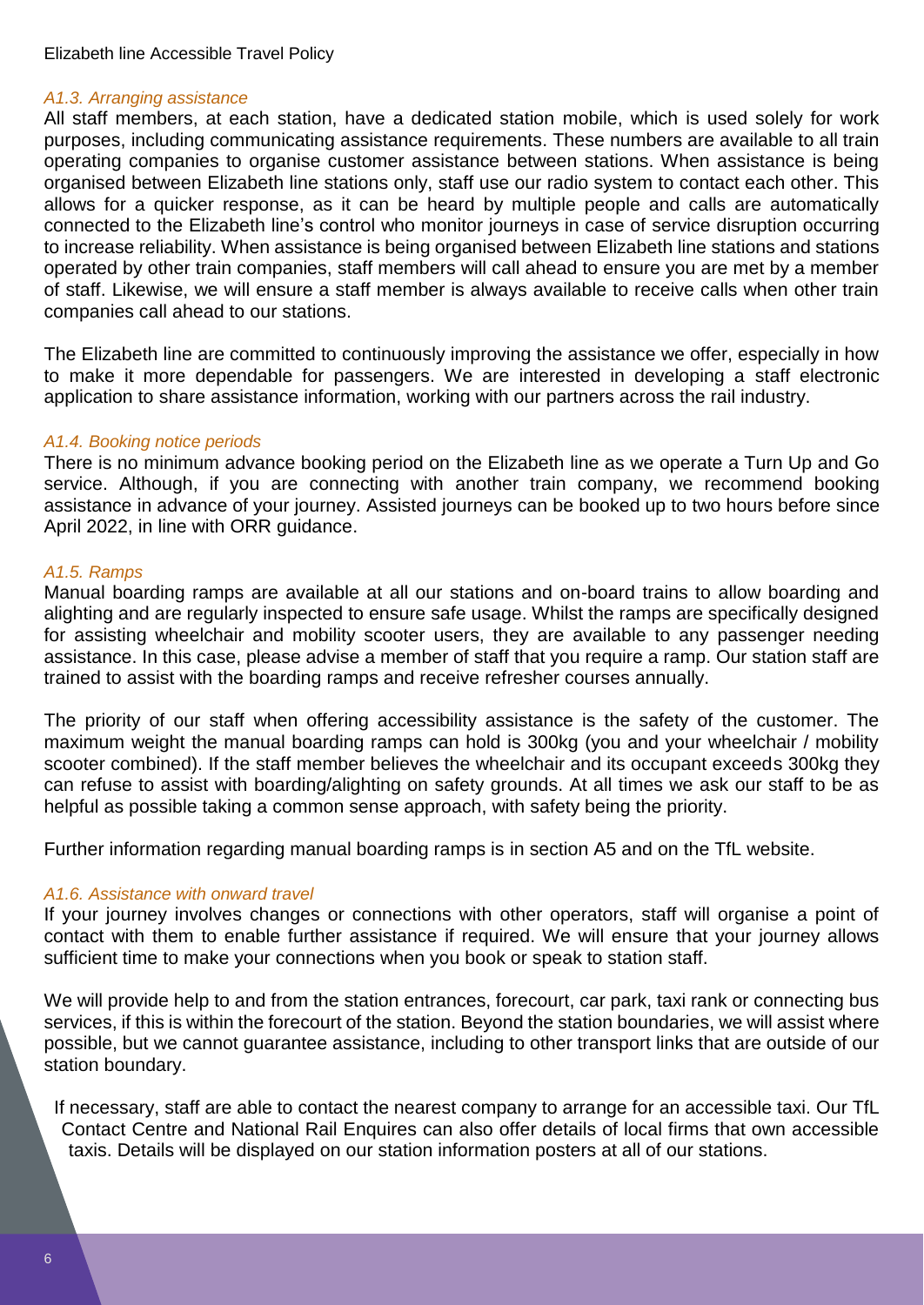#### *A1.3. Arranging assistance*

All staff members, at each station, have a dedicated station mobile, which is used solely for work purposes, including communicating assistance requirements. These numbers are available to all train operating companies to organise customer assistance between stations. When assistance is being organised between Elizabeth line stations only, staff use our radio system to contact each other. This allows for a quicker response, as it can be heard by multiple people and calls are automatically connected to the Elizabeth line's control who monitor journeys in case of service disruption occurring to increase reliability. When assistance is being organised between Elizabeth line stations and stations operated by other train companies, staff members will call ahead to ensure you are met by a member of staff. Likewise, we will ensure a staff member is always available to receive calls when other train companies call ahead to our stations.

The Elizabeth line are committed to continuously improving the assistance we offer, especially in how to make it more dependable for passengers. We are interested in developing a staff electronic application to share assistance information, working with our partners across the rail industry.

#### *A1.4. Booking notice periods*

There is no minimum advance booking period on the Elizabeth line as we operate a Turn Up and Go service. Although, if you are connecting with another train company, we recommend booking assistance in advance of your journey. Assisted journeys can be booked up to two hours before since April 2022, in line with ORR guidance.

#### *A1.5. Ramps*

Manual boarding ramps are available at all our stations and on-board trains to allow boarding and alighting and are regularly inspected to ensure safe usage. Whilst the ramps are specifically designed for assisting wheelchair and mobility scooter users, they are available to any passenger needing assistance. In this case, please advise a member of staff that you require a ramp. Our station staff are trained to assist with the boarding ramps and receive refresher courses annually.

The priority of our staff when offering accessibility assistance is the safety of the customer. The maximum weight the manual boarding ramps can hold is 300kg (you and your wheelchair / mobility scooter combined). If the staff member believes the wheelchair and its occupant exceeds 300kg they can refuse to assist with boarding/alighting on safety grounds. At all times we ask our staff to be as helpful as possible taking a common sense approach, with safety being the priority.

Further information regarding manual boarding ramps is in section A5 and on the TfL website.

#### *A1.6. Assistance with onward travel*

If your journey involves changes or connections with other operators, staff will organise a point of contact with them to enable further assistance if required. We will ensure that your journey allows sufficient time to make your connections when you book or speak to station staff.

We will provide help to and from the station entrances, forecourt, car park, taxi rank or connecting bus services, if this is within the forecourt of the station. Beyond the station boundaries, we will assist where possible, but we cannot guarantee assistance, including to other transport links that are outside of our station boundary.

If necessary, staff are able to contact the nearest company to arrange for an accessible taxi. Our TfL Contact Centre and National Rail Enquires can also offer details of local firms that own accessible taxis. Details will be displayed on our station information posters at all of our stations.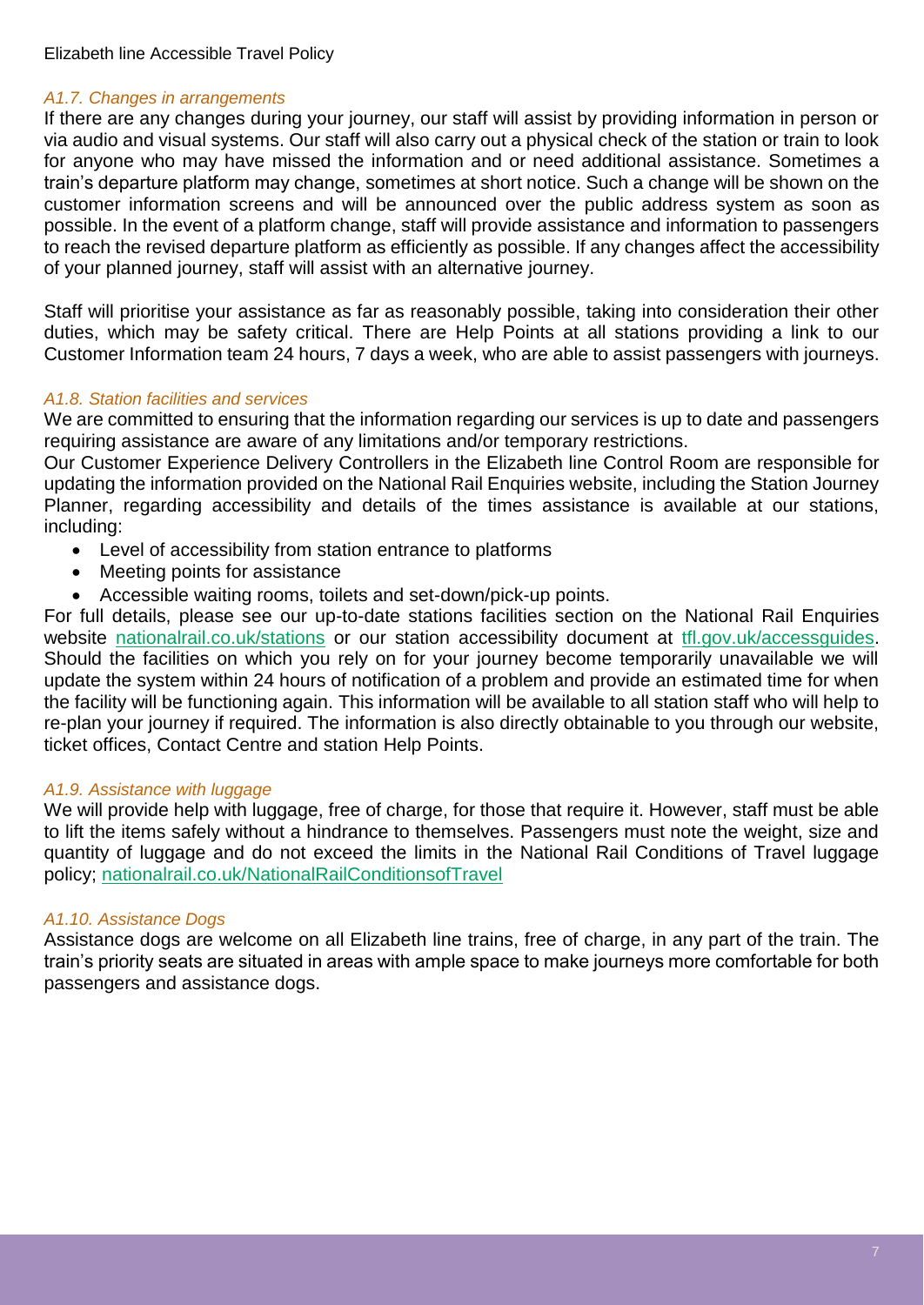#### *A1.7. Changes in arrangements*

If there are any changes during your journey, our staff will assist by providing information in person or via audio and visual systems. Our staff will also carry out a physical check of the station or train to look for anyone who may have missed the information and or need additional assistance. Sometimes a train's departure platform may change, sometimes at short notice. Such a change will be shown on the customer information screens and will be announced over the public address system as soon as possible. In the event of a platform change, staff will provide assistance and information to passengers to reach the revised departure platform as efficiently as possible. If any changes affect the accessibility of your planned journey, staff will assist with an alternative journey.

Staff will prioritise your assistance as far as reasonably possible, taking into consideration their other duties, which may be safety critical. There are Help Points at all stations providing a link to our Customer Information team 24 hours, 7 days a week, who are able to assist passengers with journeys.

#### *A1.8. Station facilities and services*

We are committed to ensuring that the information regarding our services is up to date and passengers requiring assistance are aware of any limitations and/or temporary restrictions.

Our Customer Experience Delivery Controllers in the Elizabeth line Control Room are responsible for updating the information provided on the National Rail Enquiries website, including the Station Journey Planner, regarding accessibility and details of the times assistance is available at our stations, including:

- Level of accessibility from station entrance to platforms
- Meeting points for assistance
- Accessible waiting rooms, toilets and set-down/pick-up points.

For full details, please see our up-to-date stations facilities section on the National Rail Enquiries website [nationalrail.co.uk/stations](https://www.nationalrail.co.uk/stations_destinations/default.aspx) or our station accessibility document at tfl.gov.uk/accessquides. Should the facilities on which you rely on for your journey become temporarily unavailable we will update the system within 24 hours of notification of a problem and provide an estimated time for when the facility will be functioning again. This information will be available to all station staff who will help to re-plan your journey if required. The information is also directly obtainable to you through our website, ticket offices, Contact Centre and station Help Points.

#### *A1.9. Assistance with luggage*

We will provide help with luggage, free of charge, for those that require it. However, staff must be able to lift the items safely without a hindrance to themselves. Passengers must note the weight, size and quantity of luggage and do not exceed the limits in the National Rail Conditions of Travel luggage policy; [nationalrail.co.uk/NationalRailConditionsofTravel](https://www.nationalrail.co.uk/National%20Rail%20Conditions%20of%20Travel.pdf)

#### *A1.10. Assistance Dogs*

Assistance dogs are welcome on all Elizabeth line trains, free of charge, in any part of the train. The train's priority seats are situated in areas with ample space to make journeys more comfortable for both passengers and assistance dogs.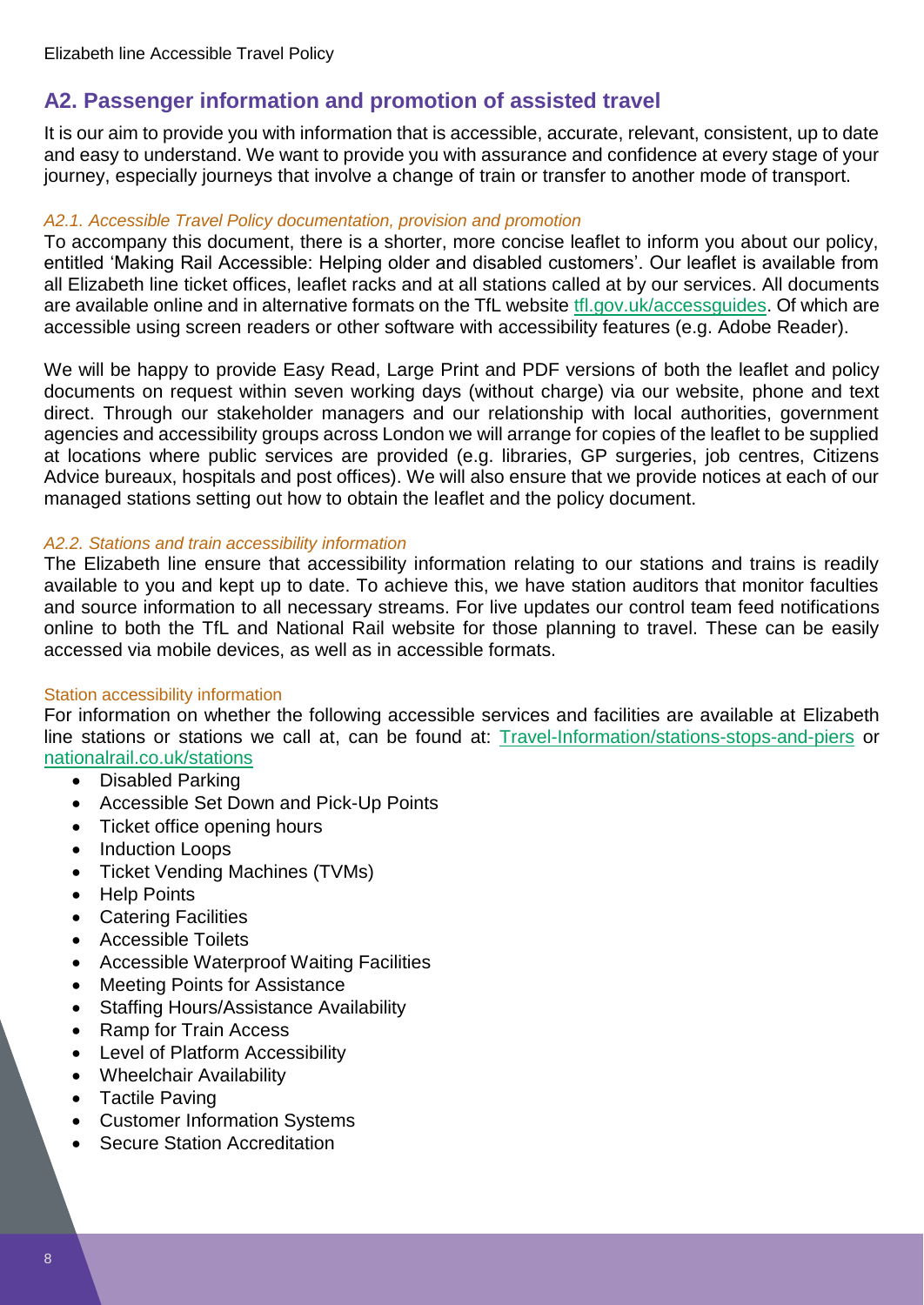## <span id="page-7-0"></span>**A2. Passenger information and promotion of assisted travel**

It is our aim to provide you with information that is accessible, accurate, relevant, consistent, up to date and easy to understand. We want to provide you with assurance and confidence at every stage of your journey, especially journeys that involve a change of train or transfer to another mode of transport.

#### *A2.1. Accessible Travel Policy documentation, provision and promotion*

To accompany this document, there is a shorter, more concise leaflet to inform you about our policy, entitled 'Making Rail Accessible: Helping older and disabled customers'. Our leaflet is available from all Elizabeth line ticket offices, leaflet racks and at all stations called at by our services. All documents are available online and in alternative formats on the TfL website [tfl.gov.uk/accessguides.](https://tfl.gov.uk/forms/12387.aspx?cid=accessguides) Of which are accessible using screen readers or other software with accessibility features (e.g. Adobe Reader).

We will be happy to provide Easy Read, Large Print and PDF versions of both the leaflet and policy documents on request within seven working days (without charge) via our website, phone and text direct. Through our stakeholder managers and our relationship with local authorities, government agencies and accessibility groups across London we will arrange for copies of the leaflet to be supplied at locations where public services are provided (e.g. libraries, GP surgeries, job centres, Citizens Advice bureaux, hospitals and post offices). We will also ensure that we provide notices at each of our managed stations setting out how to obtain the leaflet and the policy document.

#### *A2.2. Stations and train accessibility information*

The Elizabeth line ensure that accessibility information relating to our stations and trains is readily available to you and kept up to date. To achieve this, we have station auditors that monitor faculties and source information to all necessary streams. For live updates our control team feed notifications online to both the TfL and National Rail website for those planning to travel. These can be easily accessed via mobile devices, as well as in accessible formats.

#### Station accessibility information

For information on whether the following accessible services and facilities are available at Elizabeth line stations or stations we call at, can be found at: [Travel-Information/stations-stops-and-piers](https://tfl.gov.uk/travel-information/stations-stops-and-piers/) or [nationalrail.co.uk/stations](https://www.nationalrail.co.uk/stations_destinations/default.aspx)

- Disabled Parking
- Accessible Set Down and Pick-Up Points
- Ticket office opening hours
- Induction Loops
- Ticket Vending Machines (TVMs)
- Help Points
- Catering Facilities
- Accessible Toilets
- Accessible Waterproof Waiting Facilities
- Meeting Points for Assistance
- Staffing Hours/Assistance Availability
- Ramp for Train Access
- Level of Platform Accessibility
- Wheelchair Availability
- Tactile Paving
- Customer Information Systems
- Secure Station Accreditation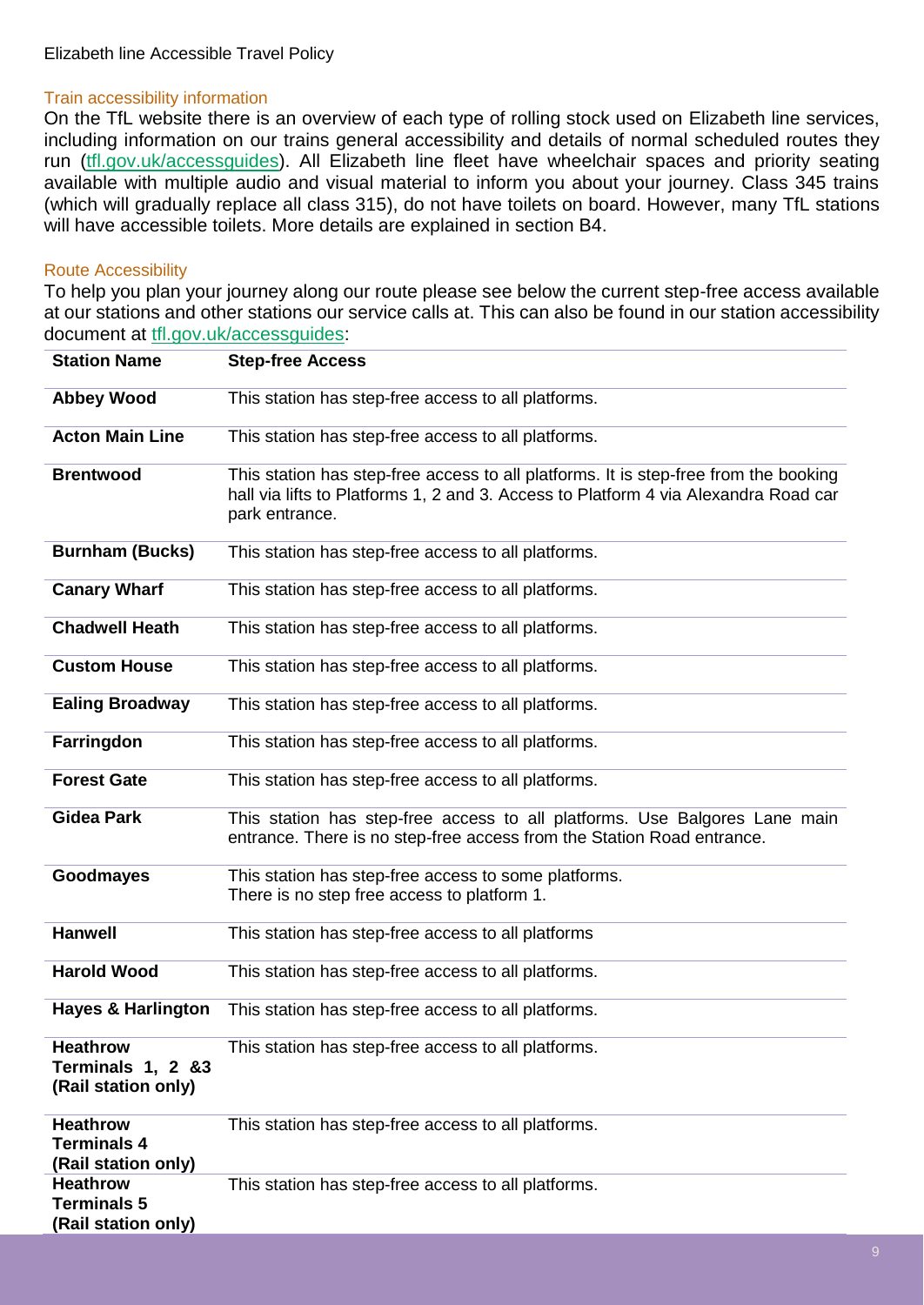#### Train accessibility information

On the TfL website there is an overview of each type of rolling stock used on Elizabeth line services, including information on our trains general accessibility and details of normal scheduled routes they run [\(tfl.gov.uk/accessguides\)](https://tfl.gov.uk/forms/12387.aspx?cid=accessguides). All Elizabeth line fleet have wheelchair spaces and priority seating available with multiple audio and visual material to inform you about your journey. Class 345 trains (which will gradually replace all class 315), do not have toilets on board. However, many TfL stations will have accessible toilets. More details are explained in section B4.

#### Route Accessibility

To help you plan your journey along our route please see below the current step-free access available at our stations and other stations our service calls at. This can also be found in our station accessibility document at [tfl.gov.uk/accessguides:](https://tfl.gov.uk/forms/12387.aspx?cid=accessguides)

| <b>Station Name</b>                                          | <b>Step-free Access</b>                                                                                                                                                                       |
|--------------------------------------------------------------|-----------------------------------------------------------------------------------------------------------------------------------------------------------------------------------------------|
| <b>Abbey Wood</b>                                            | This station has step-free access to all platforms.                                                                                                                                           |
| <b>Acton Main Line</b>                                       | This station has step-free access to all platforms.                                                                                                                                           |
| <b>Brentwood</b>                                             | This station has step-free access to all platforms. It is step-free from the booking<br>hall via lifts to Platforms 1, 2 and 3. Access to Platform 4 via Alexandra Road car<br>park entrance. |
| <b>Burnham (Bucks)</b>                                       | This station has step-free access to all platforms.                                                                                                                                           |
| <b>Canary Wharf</b>                                          | This station has step-free access to all platforms.                                                                                                                                           |
| <b>Chadwell Heath</b>                                        | This station has step-free access to all platforms.                                                                                                                                           |
| <b>Custom House</b>                                          | This station has step-free access to all platforms.                                                                                                                                           |
| <b>Ealing Broadway</b>                                       | This station has step-free access to all platforms.                                                                                                                                           |
| Farringdon                                                   | This station has step-free access to all platforms.                                                                                                                                           |
| <b>Forest Gate</b>                                           | This station has step-free access to all platforms.                                                                                                                                           |
| <b>Gidea Park</b>                                            | This station has step-free access to all platforms. Use Balgores Lane main<br>entrance. There is no step-free access from the Station Road entrance.                                          |
| <b>Goodmayes</b>                                             | This station has step-free access to some platforms.<br>There is no step free access to platform 1.                                                                                           |
| <b>Hanwell</b>                                               | This station has step-free access to all platforms                                                                                                                                            |
| <b>Harold Wood</b>                                           | This station has step-free access to all platforms.                                                                                                                                           |
| <b>Hayes &amp; Harlington</b>                                | This station has step-free access to all platforms.                                                                                                                                           |
| <b>Heathrow</b><br>Terminals 1, 2 &3<br>(Rail station only)  | This station has step-free access to all platforms.                                                                                                                                           |
| <b>Heathrow</b><br><b>Terminals 4</b><br>(Rail station only) | This station has step-free access to all platforms.                                                                                                                                           |
| <b>Heathrow</b><br><b>Terminals 5</b><br>(Rail station only) | This station has step-free access to all platforms.                                                                                                                                           |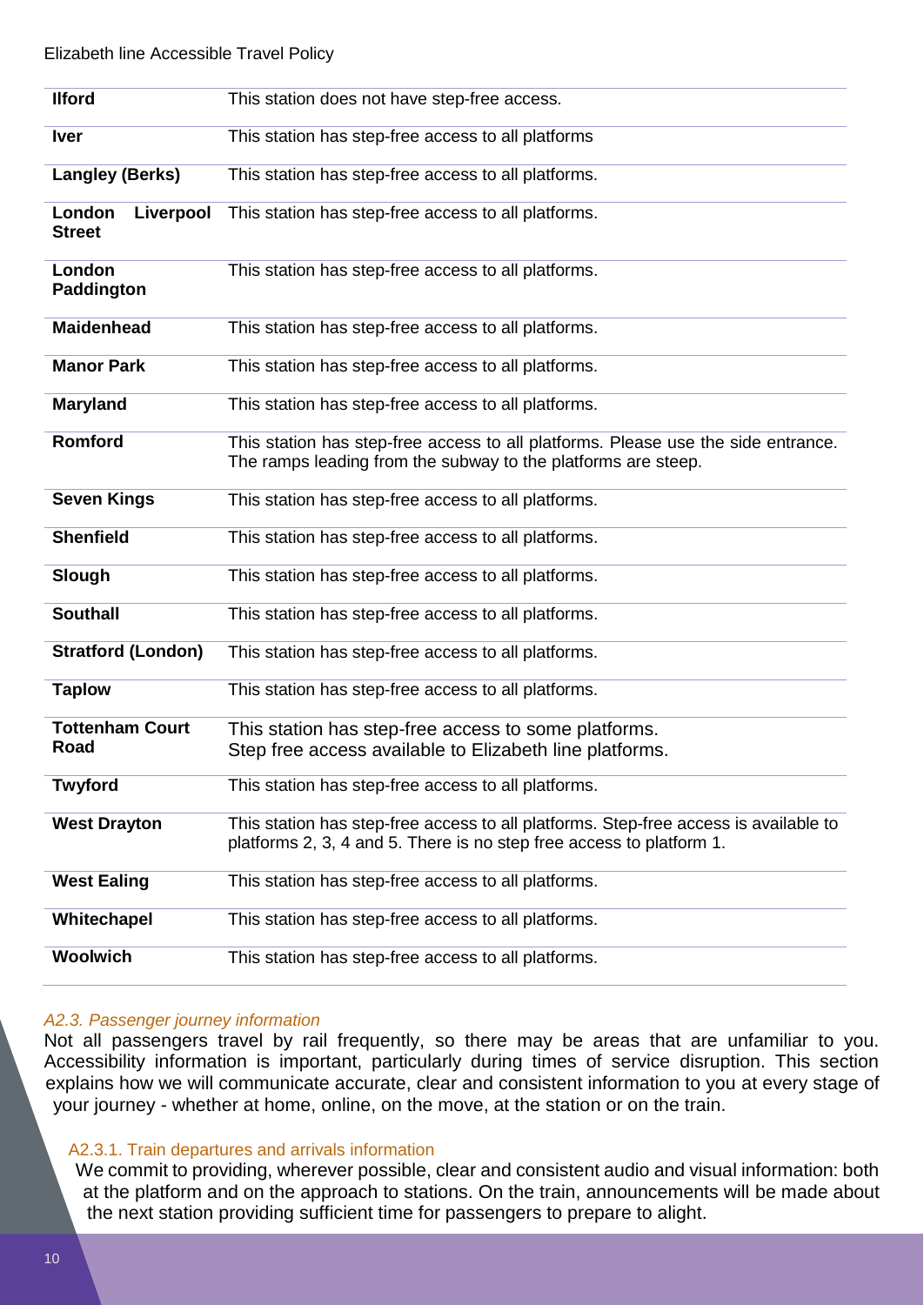| <b>Ilford</b>                        | This station does not have step-free access.                                                                                                                 |
|--------------------------------------|--------------------------------------------------------------------------------------------------------------------------------------------------------------|
| <b>Iver</b>                          | This station has step-free access to all platforms                                                                                                           |
| <b>Langley (Berks)</b>               | This station has step-free access to all platforms.                                                                                                          |
| London<br>Liverpool<br><b>Street</b> | This station has step-free access to all platforms.                                                                                                          |
| London<br>Paddington                 | This station has step-free access to all platforms.                                                                                                          |
| <b>Maidenhead</b>                    | This station has step-free access to all platforms.                                                                                                          |
| <b>Manor Park</b>                    | This station has step-free access to all platforms.                                                                                                          |
| <b>Maryland</b>                      | This station has step-free access to all platforms.                                                                                                          |
| <b>Romford</b>                       | This station has step-free access to all platforms. Please use the side entrance.<br>The ramps leading from the subway to the platforms are steep.           |
| <b>Seven Kings</b>                   | This station has step-free access to all platforms.                                                                                                          |
| <b>Shenfield</b>                     | This station has step-free access to all platforms.                                                                                                          |
| Slough                               | This station has step-free access to all platforms.                                                                                                          |
| <b>Southall</b>                      | This station has step-free access to all platforms.                                                                                                          |
| <b>Stratford (London)</b>            | This station has step-free access to all platforms.                                                                                                          |
| <b>Taplow</b>                        | This station has step-free access to all platforms.                                                                                                          |
| <b>Tottenham Court</b><br>Road       | This station has step-free access to some platforms.<br>Step free access available to Elizabeth line platforms.                                              |
| <b>Twyford</b>                       | This station has step-free access to all platforms.                                                                                                          |
| <b>West Drayton</b>                  | This station has step-free access to all platforms. Step-free access is available to<br>platforms 2, 3, 4 and 5. There is no step free access to platform 1. |
| <b>West Ealing</b>                   | This station has step-free access to all platforms.                                                                                                          |
| Whitechapel                          | This station has step-free access to all platforms.                                                                                                          |
| Woolwich                             | This station has step-free access to all platforms.                                                                                                          |

#### *A2.3. Passenger journey information*

Not all passengers travel by rail frequently, so there may be areas that are unfamiliar to you. Accessibility information is important, particularly during times of service disruption. This section explains how we will communicate accurate, clear and consistent information to you at every stage of your journey - whether at home, online, on the move, at the station or on the train.

#### A2.3.1. Train departures and arrivals information

We commit to providing, wherever possible, clear and consistent audio and visual information: both at the platform and on the approach to stations. On the train, announcements will be made about the next station providing sufficient time for passengers to prepare to alight.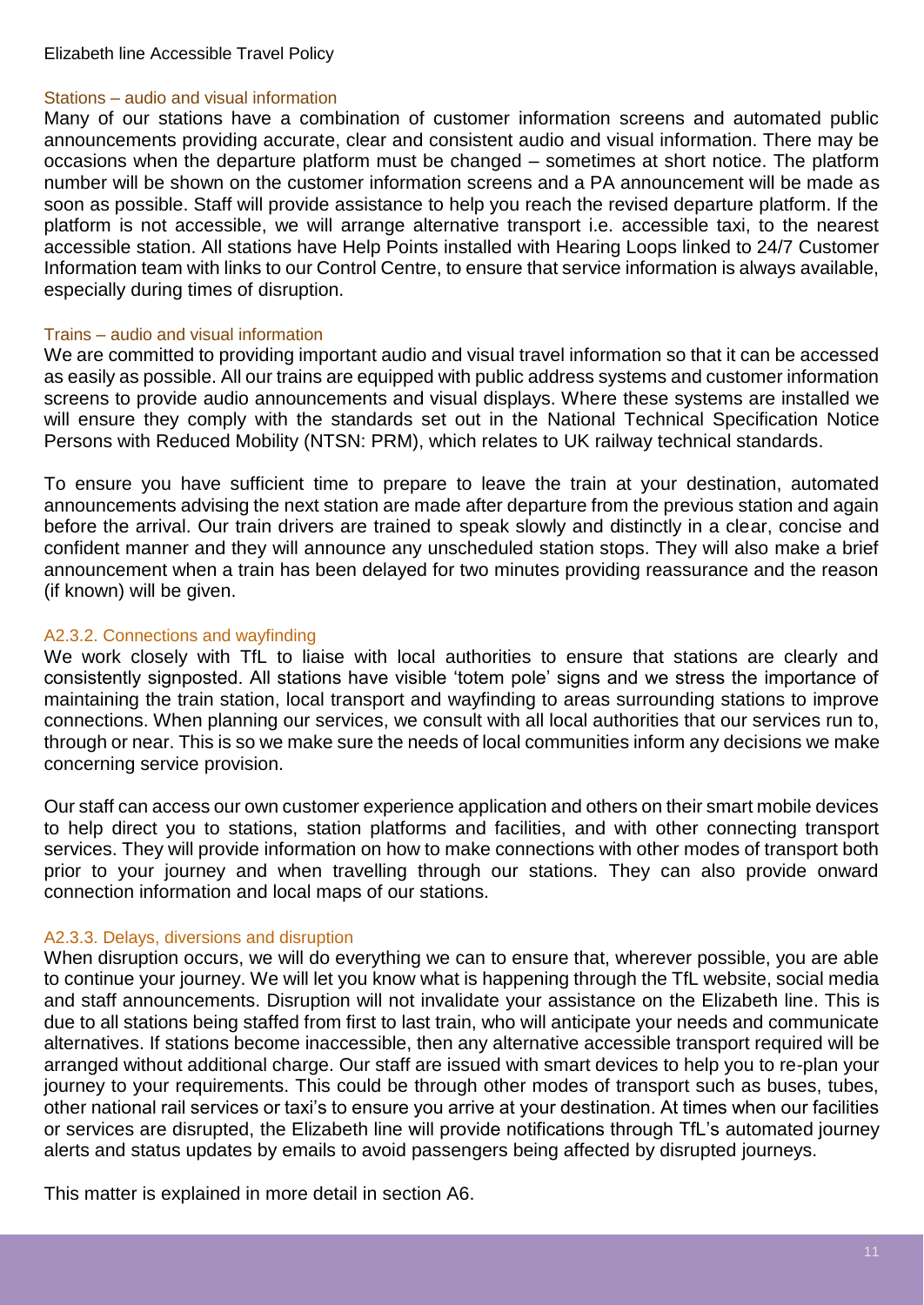#### Elizabeth line Accessible Travel Policy

#### Stations – audio and visual information

Many of our stations have a combination of customer information screens and automated public announcements providing accurate, clear and consistent audio and visual information. There may be occasions when the departure platform must be changed – sometimes at short notice. The platform number will be shown on the customer information screens and a PA announcement will be made as soon as possible. Staff will provide assistance to help you reach the revised departure platform. If the platform is not accessible, we will arrange alternative transport i.e. accessible taxi, to the nearest accessible station. All stations have Help Points installed with Hearing Loops linked to 24/7 Customer Information team with links to our Control Centre, to ensure that service information is always available, especially during times of disruption.

#### Trains – audio and visual information

We are committed to providing important audio and visual travel information so that it can be accessed as easily as possible. All our trains are equipped with public address systems and customer information screens to provide audio announcements and visual displays. Where these systems are installed we will ensure they comply with the standards set out in the National Technical Specification Notice Persons with Reduced Mobility (NTSN: PRM), which relates to UK railway technical standards.

To ensure you have sufficient time to prepare to leave the train at your destination, automated announcements advising the next station are made after departure from the previous station and again before the arrival. Our train drivers are trained to speak slowly and distinctly in a clear, concise and confident manner and they will announce any unscheduled station stops. They will also make a brief announcement when a train has been delayed for two minutes providing reassurance and the reason (if known) will be given.

#### A2.3.2. Connections and wayfinding

We work closely with TfL to liaise with local authorities to ensure that stations are clearly and consistently signposted. All stations have visible 'totem pole' signs and we stress the importance of maintaining the train station, local transport and wayfinding to areas surrounding stations to improve connections. When planning our services, we consult with all local authorities that our services run to, through or near. This is so we make sure the needs of local communities inform any decisions we make concerning service provision.

Our staff can access our own customer experience application and others on their smart mobile devices to help direct you to stations, station platforms and facilities, and with other connecting transport services. They will provide information on how to make connections with other modes of transport both prior to your journey and when travelling through our stations. They can also provide onward connection information and local maps of our stations.

#### A2.3.3. Delays, diversions and disruption

When disruption occurs, we will do everything we can to ensure that, wherever possible, you are able to continue your journey. We will let you know what is happening through the TfL website, social media and staff announcements. Disruption will not invalidate your assistance on the Elizabeth line. This is due to all stations being staffed from first to last train, who will anticipate your needs and communicate alternatives. If stations become inaccessible, then any alternative accessible transport required will be arranged without additional charge. Our staff are issued with smart devices to help you to re-plan your journey to your requirements. This could be through other modes of transport such as buses, tubes, other national rail services or taxi's to ensure you arrive at your destination. At times when our facilities or services are disrupted, the Elizabeth line will provide notifications through TfL's automated journey alerts and status updates by emails to avoid passengers being affected by disrupted journeys.

This matter is explained in more detail in section A6.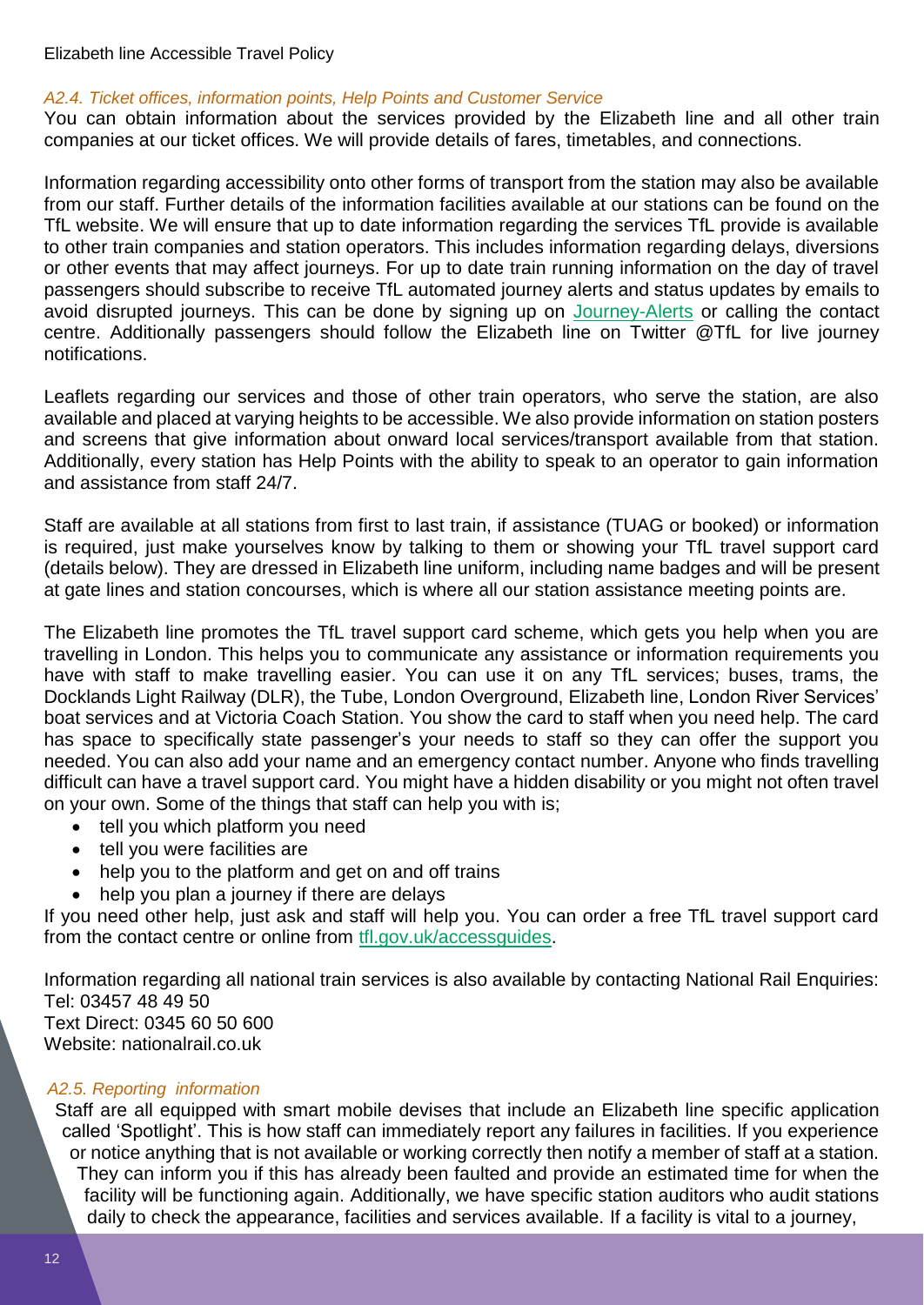#### Elizabeth line Accessible Travel Policy

#### *A2.4. Ticket offices, information points, Help Points and Customer Service*

You can obtain information about the services provided by the Elizabeth line and all other train companies at our ticket offices. We will provide details of fares, timetables, and connections.

Information regarding accessibility onto other forms of transport from the station may also be available from our staff. Further details of the information facilities available at our stations can be found on the TfL website. We will ensure that up to date information regarding the services TfL provide is available to other train companies and station operators. This includes information regarding delays, diversions or other events that may affect journeys. For up to date train running information on the day of travel passengers should subscribe to receive TfL automated journey alerts and status updates by emails to avoid disrupted journeys. This can be done by signing up on [Journey-Alerts](https://tfl.gov.uk/travel-information/social-media-and-email-updates/journey-alerts) or calling the contact centre. Additionally passengers should follow the Elizabeth line on Twitter @TfL for live journey notifications.

Leaflets regarding our services and those of other train operators, who serve the station, are also available and placed at varying heights to be accessible. We also provide information on station posters and screens that give information about onward local services/transport available from that station. Additionally, every station has Help Points with the ability to speak to an operator to gain information and assistance from staff 24/7.

Staff are available at all stations from first to last train, if assistance (TUAG or booked) or information is required, just make yourselves know by talking to them or showing your TfL travel support card (details below). They are dressed in Elizabeth line uniform, including name badges and will be present at gate lines and station concourses, which is where all our station assistance meeting points are.

The Elizabeth line promotes the TfL travel support card scheme, which gets you help when you are travelling in London. This helps you to communicate any assistance or information requirements you have with staff to make travelling easier. You can use it on any TfL services; buses, trams, the Docklands Light Railway (DLR), the Tube, London Overground, Elizabeth line, London River Services' boat services and at Victoria Coach Station. You show the card to staff when you need help. The card has space to specifically state passenger's your needs to staff so they can offer the support you needed. You can also add your name and an emergency contact number. Anyone who finds travelling difficult can have a travel support card. You might have a hidden disability or you might not often travel on your own. Some of the things that staff can help you with is;

- tell you which platform you need
- tell you were facilities are
- help you to the platform and get on and off trains
- help you plan a journey if there are delays

If you need other help, just ask and staff will help you. You can order a free TfL travel support card from the contact centre or online from [tfl.gov.uk/accessguides.](https://tfl.gov.uk/forms/12387.aspx?cid=accessguides)

Information regarding all national train services is also available by contacting National Rail Enquiries: Tel: 03457 48 49 50 Text Direct: 0345 60 50 600 Website: nationalrail.co.uk

#### *A2.5. Reporting information*

Staff are all equipped with smart mobile devises that include an Elizabeth line specific application called 'Spotlight'. This is how staff can immediately report any failures in facilities. If you experience or notice anything that is not available or working correctly then notify a member of staff at a station. They can inform you if this has already been faulted and provide an estimated time for when the facility will be functioning again. Additionally, we have specific station auditors who audit stations daily to check the appearance, facilities and services available. If a facility is vital to a journey,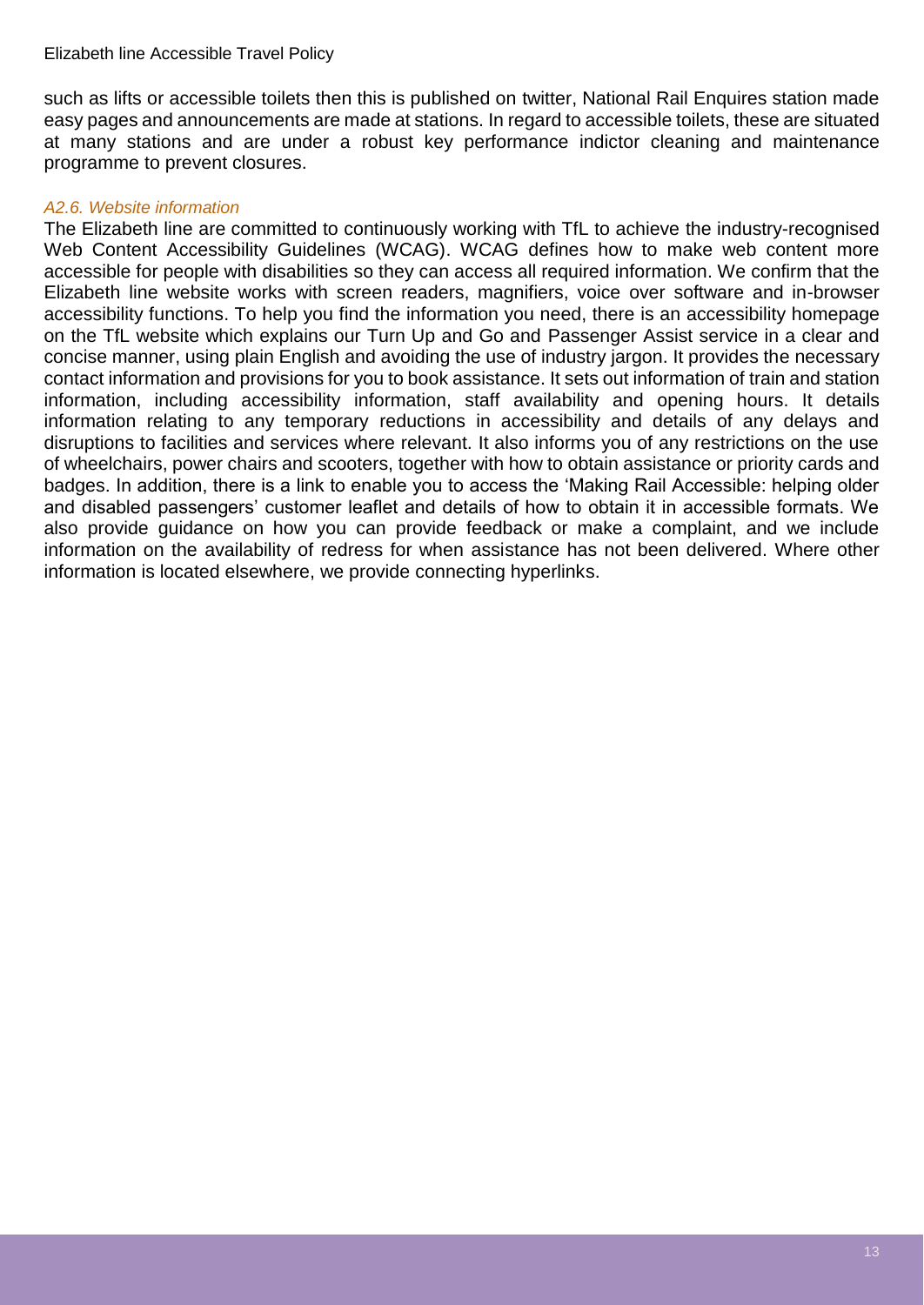such as lifts or accessible toilets then this is published on twitter. National Rail Enquires station made easy pages and announcements are made at stations. In regard to accessible toilets, these are situated at many stations and are under a robust key performance indictor cleaning and maintenance programme to prevent closures.

#### *A2.6. Website information*

The Elizabeth line are committed to continuously working with TfL to achieve the industry-recognised Web Content Accessibility Guidelines (WCAG). WCAG defines how to make web content more accessible for people with disabilities so they can access all required information. We confirm that the Elizabeth line website works with screen readers, magnifiers, voice over software and in-browser accessibility functions. To help you find the information you need, there is an accessibility homepage on the TfL website which explains our Turn Up and Go and Passenger Assist service in a clear and concise manner, using plain English and avoiding the use of industry jargon. It provides the necessary contact information and provisions for you to book assistance. It sets out information of train and station information, including accessibility information, staff availability and opening hours. It details information relating to any temporary reductions in accessibility and details of any delays and disruptions to facilities and services where relevant. It also informs you of any restrictions on the use of wheelchairs, power chairs and scooters, together with how to obtain assistance or priority cards and badges. In addition, there is a link to enable you to access the 'Making Rail Accessible: helping older and disabled passengers' customer leaflet and details of how to obtain it in accessible formats. We also provide guidance on how you can provide feedback or make a complaint, and we include information on the availability of redress for when assistance has not been delivered. Where other information is located elsewhere, we provide connecting hyperlinks.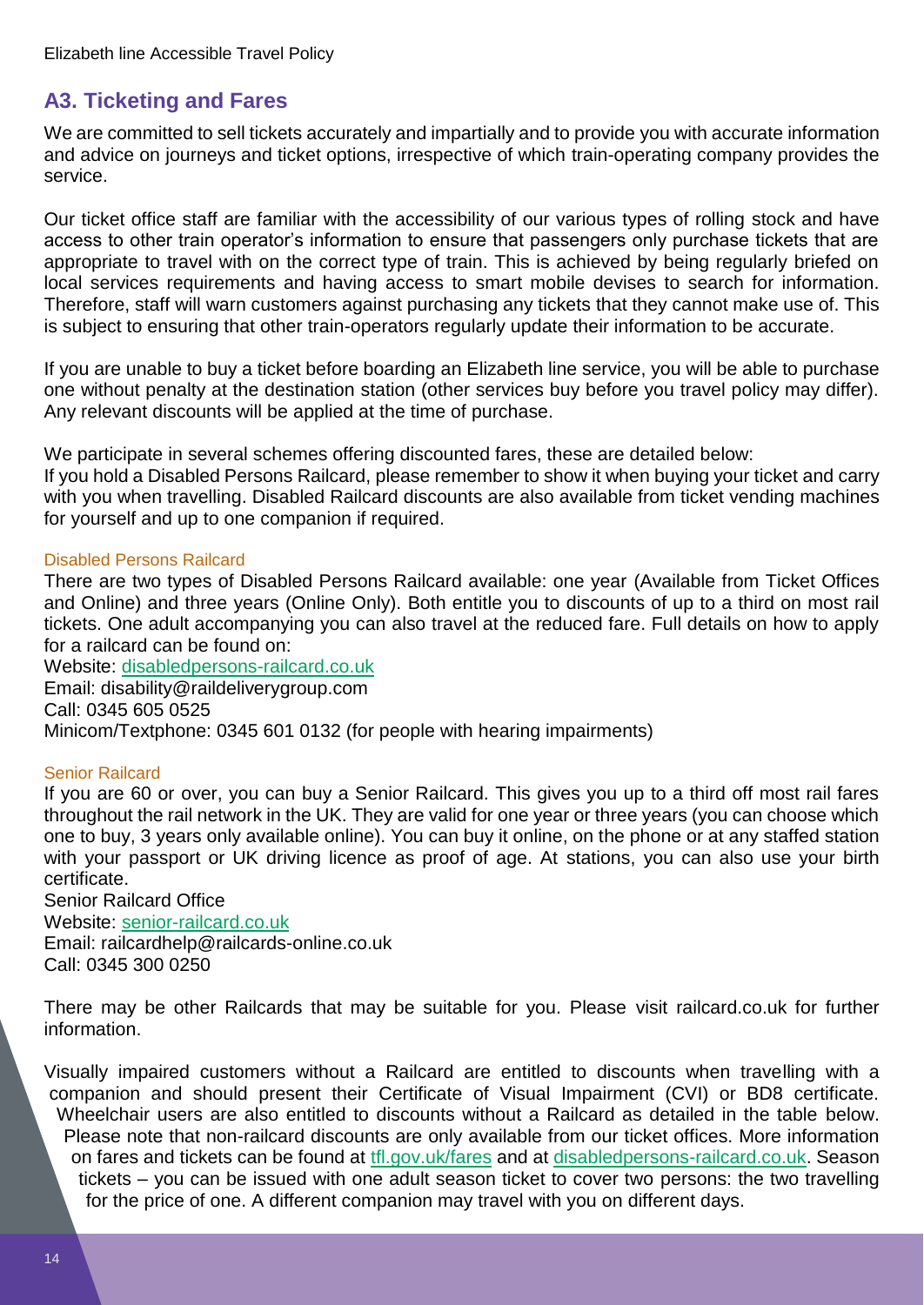## <span id="page-13-0"></span>**A3. Ticketing and Fares**

We are committed to sell tickets accurately and impartially and to provide you with accurate information and advice on journeys and ticket options, irrespective of which train-operating company provides the service.

Our ticket office staff are familiar with the accessibility of our various types of rolling stock and have access to other train operator's information to ensure that passengers only purchase tickets that are appropriate to travel with on the correct type of train. This is achieved by being regularly briefed on local services requirements and having access to smart mobile devises to search for information. Therefore, staff will warn customers against purchasing any tickets that they cannot make use of. This is subject to ensuring that other train-operators regularly update their information to be accurate.

If you are unable to buy a ticket before boarding an Elizabeth line service, you will be able to purchase one without penalty at the destination station (other services buy before you travel policy may differ). Any relevant discounts will be applied at the time of purchase.

We participate in several schemes offering discounted fares, these are detailed below:

If you hold a Disabled Persons Railcard, please remember to show it when buying your ticket and carry with you when travelling. Disabled Railcard discounts are also available from ticket vending machines for yourself and up to one companion if required.

#### Disabled Persons Railcard

There are two types of Disabled Persons Railcard available: one year (Available from Ticket Offices and Online) and three years (Online Only). Both entitle you to discounts of up to a third on most rail tickets. One adult accompanying you can also travel at the reduced fare. Full details on how to apply for a railcard can be found on:

Website: [disabledpersons-railcard.co.uk](https://www.disabledpersons-railcard.co.uk/) Email: disability@raildeliverygroup.com Call: 0345 605 0525 Minicom/Textphone: 0345 601 0132 (for people with hearing impairments)

#### Senior Railcard

If you are 60 or over, you can buy a Senior Railcard. This gives you up to a third off most rail fares throughout the rail network in the UK. They are valid for one year or three years (you can choose which one to buy, 3 years only available online). You can buy it online, on the phone or at any staffed station with your passport or UK driving licence as proof of age. At stations, you can also use your birth certificate.

Senior Railcard Office Website: [senior-railcard.co.uk](https://www.senior-railcard.co.uk/) Email: railcardhelp@railcards-online.co.uk Call: 0345 300 0250

There may be other Railcards that may be suitable for you. Please visit railcard.co.uk for further information.

Visually impaired customers without a Railcard are entitled to discounts when travelling with a companion and should present their Certificate of Visual Impairment (CVI) or BD8 certificate. Wheelchair users are also entitled to discounts without a Railcard as detailed in the table below. Please note that non-railcard discounts are only available from our ticket offices. More information on fares and tickets can be found at [tfl.gov.uk/fares](https://tfl.gov.uk/fares/?cid=fares) and at [disabledpersons-railcard.co.uk.](https://www.disabledpersons-railcard.co.uk/) Season tickets – you can be issued with one adult season ticket to cover two persons: the two travelling for the price of one. A different companion may travel with you on different days.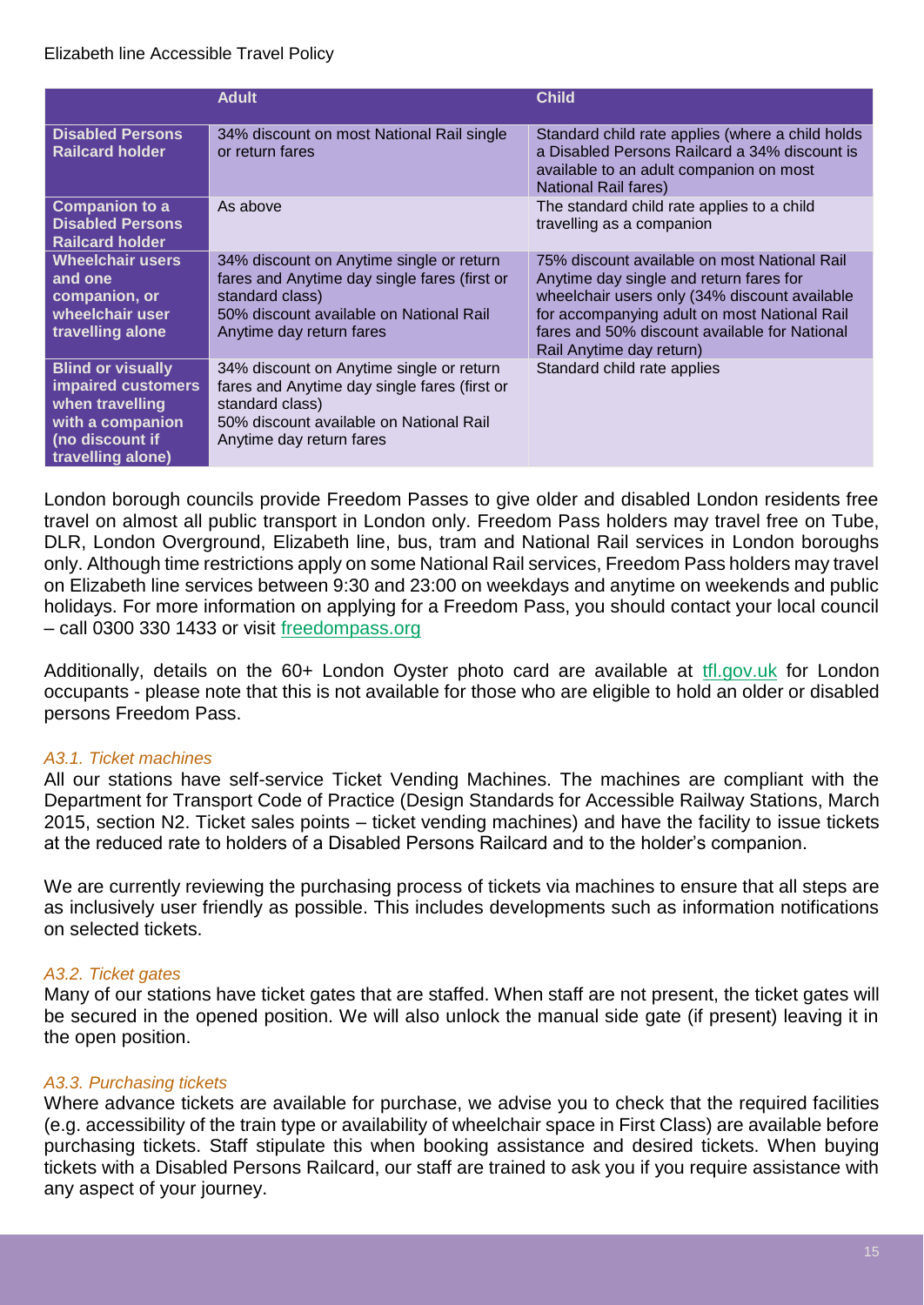|                                                                                                                               | <b>Adult</b>                                                                                                                                                                       | <b>Child</b>                                                                                                                                                                                                                                                          |
|-------------------------------------------------------------------------------------------------------------------------------|------------------------------------------------------------------------------------------------------------------------------------------------------------------------------------|-----------------------------------------------------------------------------------------------------------------------------------------------------------------------------------------------------------------------------------------------------------------------|
| <b>Disabled Persons</b><br><b>Railcard holder</b>                                                                             | 34% discount on most National Rail single<br>or return fares                                                                                                                       | Standard child rate applies (where a child holds<br>a Disabled Persons Railcard a 34% discount is<br>available to an adult companion on most<br>National Rail fares)                                                                                                  |
| <b>Companion to a</b><br><b>Disabled Persons</b><br><b>Railcard holder</b>                                                    | As above                                                                                                                                                                           | The standard child rate applies to a child<br>travelling as a companion                                                                                                                                                                                               |
| <b>Wheelchair users</b><br>and one<br>companion, or<br>wheelchair user<br>travelling alone                                    | 34% discount on Anytime single or return<br>fares and Anytime day single fares (first or<br>standard class)<br>50% discount available on National Rail<br>Anytime day return fares | 75% discount available on most National Rail<br>Anytime day single and return fares for<br>wheelchair users only (34% discount available<br>for accompanying adult on most National Rail<br>fares and 50% discount available for National<br>Rail Anytime day return) |
| <b>Blind or visually</b><br>impaired customers<br>when travelling<br>with a companion<br>(no discount if<br>travelling alone) | 34% discount on Anytime single or return<br>fares and Anytime day single fares (first or<br>standard class)<br>50% discount available on National Rail<br>Anytime day return fares | Standard child rate applies                                                                                                                                                                                                                                           |

London borough councils provide Freedom Passes to give older and disabled London residents free travel on almost all public transport in London only. Freedom Pass holders may travel free on Tube, DLR, London Overground, Elizabeth line, bus, tram and National Rail services in London boroughs only. Although time restrictions apply on some National Rail services, Freedom Pass holders may travel on Elizabeth line services between 9:30 and 23:00 on weekdays and anytime on weekends and public holidays. For more information on applying for a Freedom Pass, you should contact your local council – call 0300 330 1433 or visit [freedompass.org](https://www.londoncouncils.gov.uk/services/freedom-pass)

Additionally, details on the 60+ London Oyster photo card are available at [tfl.gov.uk](https://tfl.gov.uk/) for London occupants - please note that this is not available for those who are eligible to hold an older or disabled persons Freedom Pass.

#### *A3.1. Ticket machines*

All our stations have self-service Ticket Vending Machines. The machines are compliant with the Department for Transport Code of Practice (Design Standards for Accessible Railway Stations, March 2015, section N2. Ticket sales points – ticket vending machines) and have the facility to issue tickets at the reduced rate to holders of a Disabled Persons Railcard and to the holder's companion.

We are currently reviewing the purchasing process of tickets via machines to ensure that all steps are as inclusively user friendly as possible. This includes developments such as information notifications on selected tickets.

#### *A3.2. Ticket gates*

Many of our stations have ticket gates that are staffed. When staff are not present, the ticket gates will be secured in the opened position. We will also unlock the manual side gate (if present) leaving it in the open position.

#### *A3.3. Purchasing tickets*

Where advance tickets are available for purchase, we advise you to check that the required facilities (e.g. accessibility of the train type or availability of wheelchair space in First Class) are available before purchasing tickets. Staff stipulate this when booking assistance and desired tickets. When buying tickets with a Disabled Persons Railcard, our staff are trained to ask you if you require assistance with any aspect of your journey.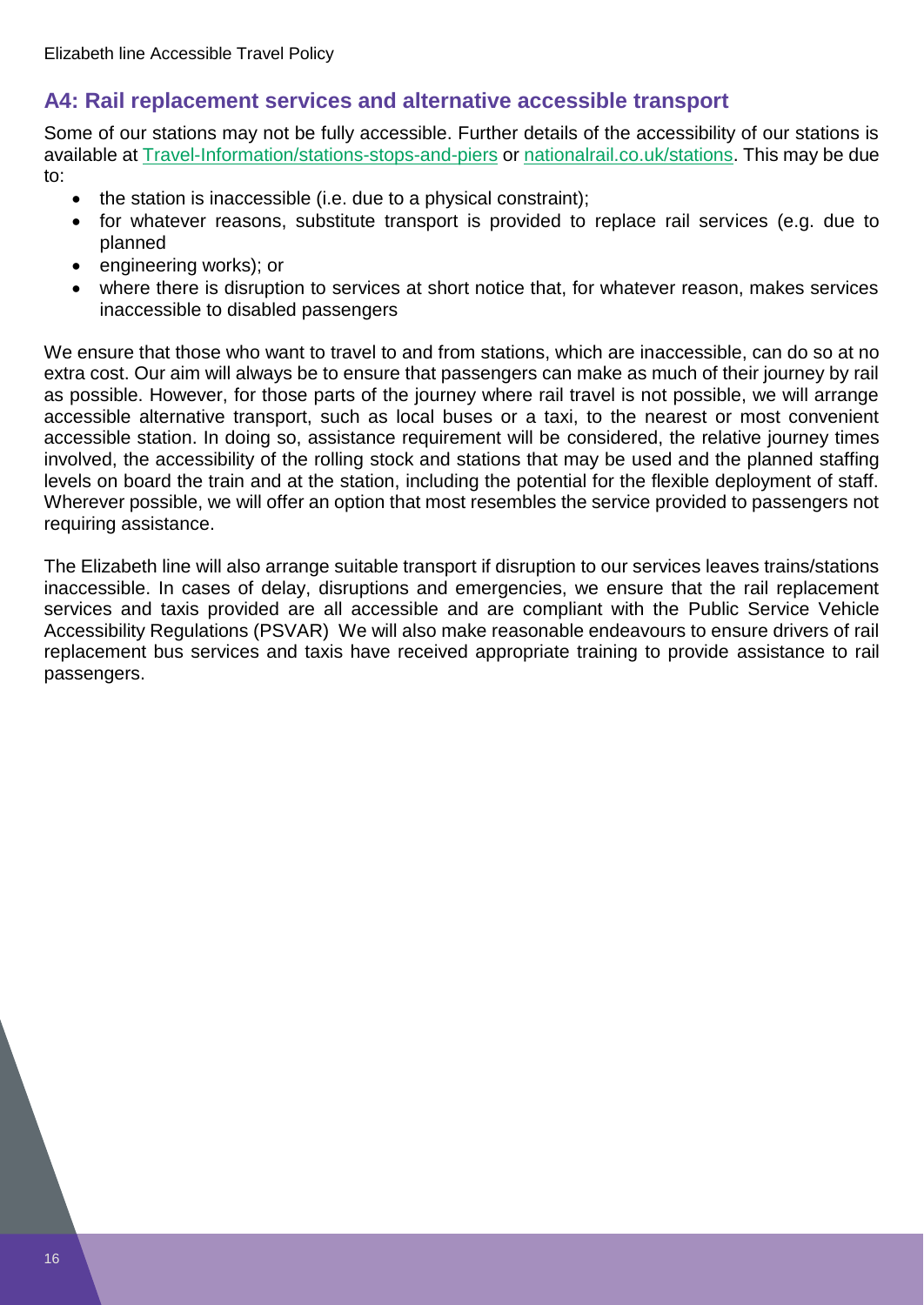## <span id="page-15-0"></span>**A4: Rail replacement services and alternative accessible transport**

Some of our stations may not be fully accessible. Further details of the accessibility of our stations is available at [Travel-Information/stations-stops-and-piers](https://tfl.gov.uk/travel-information/stations-stops-and-piers/) or [nationalrail.co.uk/stations.](https://www.nationalrail.co.uk/stations_destinations/default.aspx) This may be due to:

- the station is inaccessible (i.e. due to a physical constraint);
- for whatever reasons, substitute transport is provided to replace rail services (e.g. due to planned
- engineering works); or
- where there is disruption to services at short notice that, for whatever reason, makes services inaccessible to disabled passengers

We ensure that those who want to travel to and from stations, which are inaccessible, can do so at no extra cost. Our aim will always be to ensure that passengers can make as much of their journey by rail as possible. However, for those parts of the journey where rail travel is not possible, we will arrange accessible alternative transport, such as local buses or a taxi, to the nearest or most convenient accessible station. In doing so, assistance requirement will be considered, the relative journey times involved, the accessibility of the rolling stock and stations that may be used and the planned staffing levels on board the train and at the station, including the potential for the flexible deployment of staff. Wherever possible, we will offer an option that most resembles the service provided to passengers not requiring assistance.

The Elizabeth line will also arrange suitable transport if disruption to our services leaves trains/stations inaccessible. In cases of delay, disruptions and emergencies, we ensure that the rail replacement services and taxis provided are all accessible and are compliant with the Public Service Vehicle Accessibility Regulations (PSVAR) We will also make reasonable endeavours to ensure drivers of rail replacement bus services and taxis have received appropriate training to provide assistance to rail passengers.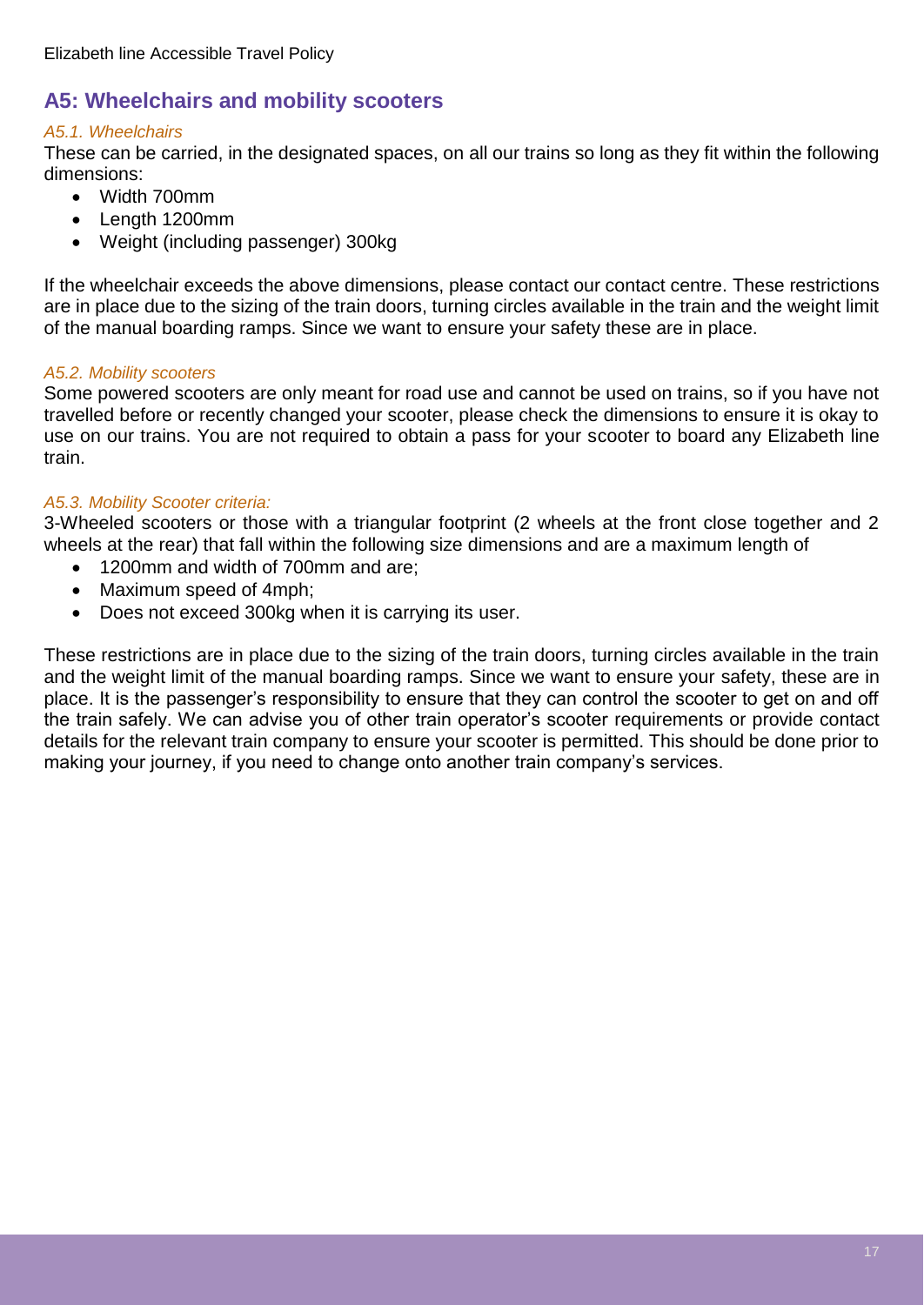## <span id="page-16-0"></span>**A5: Wheelchairs and mobility scooters**

#### *A5.1. Wheelchairs*

These can be carried, in the designated spaces, on all our trains so long as they fit within the following dimensions:

- Width 700mm
- Length 1200mm
- Weight (including passenger) 300kg

If the wheelchair exceeds the above dimensions, please contact our contact centre. These restrictions are in place due to the sizing of the train doors, turning circles available in the train and the weight limit of the manual boarding ramps. Since we want to ensure your safety these are in place.

#### *A5.2. Mobility scooters*

Some powered scooters are only meant for road use and cannot be used on trains, so if you have not travelled before or recently changed your scooter, please check the dimensions to ensure it is okay to use on our trains. You are not required to obtain a pass for your scooter to board any Elizabeth line train.

#### *A5.3. Mobility Scooter criteria:*

3-Wheeled scooters or those with a triangular footprint (2 wheels at the front close together and 2 wheels at the rear) that fall within the following size dimensions and are a maximum length of

- 1200mm and width of 700mm and are;
- Maximum speed of 4mph;
- Does not exceed 300kg when it is carrying its user.

These restrictions are in place due to the sizing of the train doors, turning circles available in the train and the weight limit of the manual boarding ramps. Since we want to ensure your safety, these are in place. It is the passenger's responsibility to ensure that they can control the scooter to get on and off the train safely. We can advise you of other train operator's scooter requirements or provide contact details for the relevant train company to ensure your scooter is permitted. This should be done prior to making your journey, if you need to change onto another train company's services.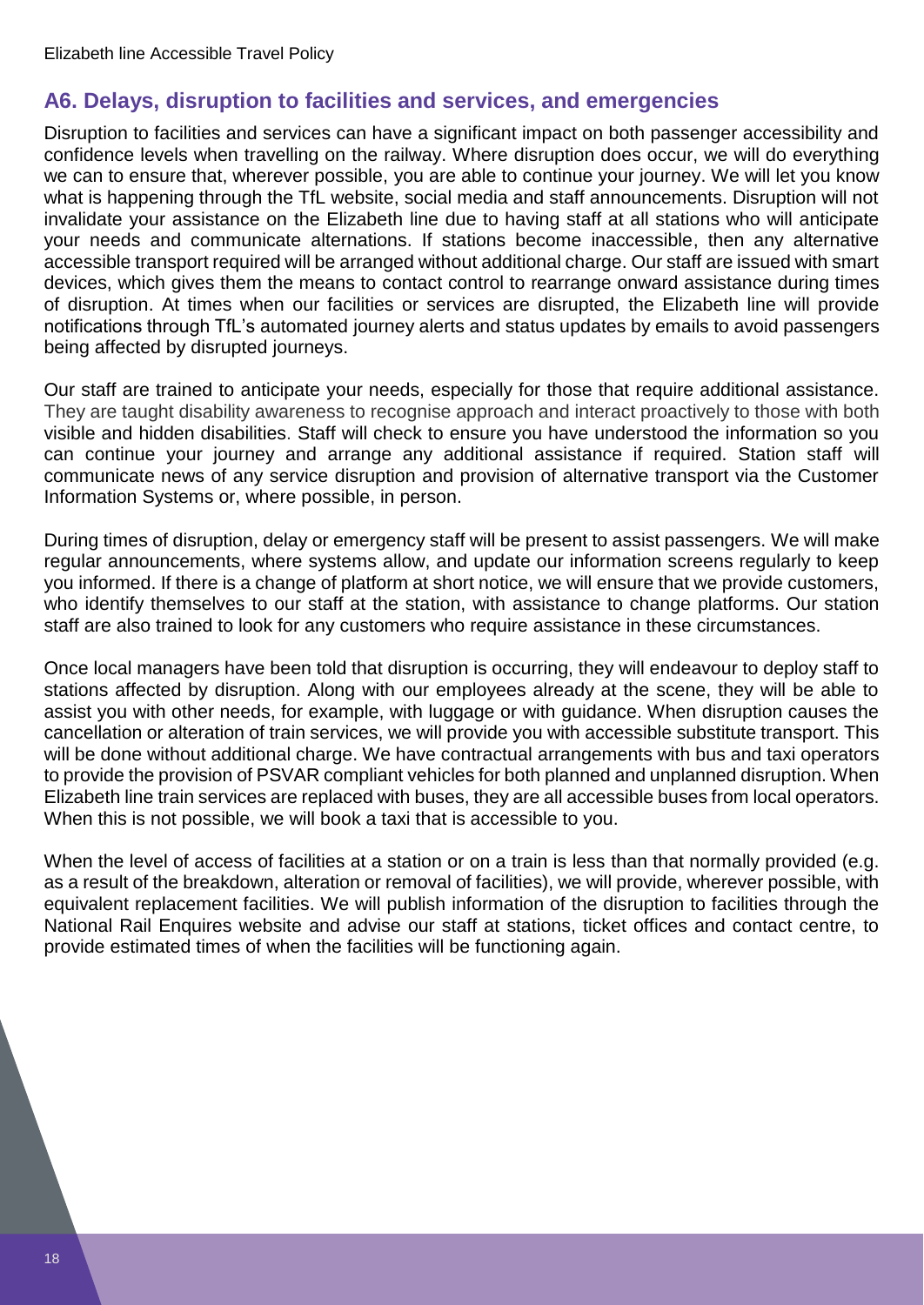### <span id="page-17-0"></span>**A6. Delays, disruption to facilities and services, and emergencies**

Disruption to facilities and services can have a significant impact on both passenger accessibility and confidence levels when travelling on the railway. Where disruption does occur, we will do everything we can to ensure that, wherever possible, you are able to continue your journey. We will let you know what is happening through the TfL website, social media and staff announcements. Disruption will not invalidate your assistance on the Elizabeth line due to having staff at all stations who will anticipate your needs and communicate alternations. If stations become inaccessible, then any alternative accessible transport required will be arranged without additional charge. Our staff are issued with smart devices, which gives them the means to contact control to rearrange onward assistance during times of disruption. At times when our facilities or services are disrupted, the Elizabeth line will provide notifications through TfL's automated journey alerts and status updates by emails to avoid passengers being affected by disrupted journeys.

Our staff are trained to anticipate your needs, especially for those that require additional assistance. They are taught disability awareness to recognise approach and interact proactively to those with both visible and hidden disabilities. Staff will check to ensure you have understood the information so you can continue your journey and arrange any additional assistance if required. Station staff will communicate news of any service disruption and provision of alternative transport via the Customer Information Systems or, where possible, in person.

During times of disruption, delay or emergency staff will be present to assist passengers. We will make regular announcements, where systems allow, and update our information screens regularly to keep you informed. If there is a change of platform at short notice, we will ensure that we provide customers, who identify themselves to our staff at the station, with assistance to change platforms. Our station staff are also trained to look for any customers who require assistance in these circumstances.

Once local managers have been told that disruption is occurring, they will endeavour to deploy staff to stations affected by disruption. Along with our employees already at the scene, they will be able to assist you with other needs, for example, with luggage or with guidance. When disruption causes the cancellation or alteration of train services, we will provide you with accessible substitute transport. This will be done without additional charge. We have contractual arrangements with bus and taxi operators to provide the provision of PSVAR compliant vehicles for both planned and unplanned disruption. When Elizabeth line train services are replaced with buses, they are all accessible buses from local operators. When this is not possible, we will book a taxi that is accessible to you.

When the level of access of facilities at a station or on a train is less than that normally provided (e.g. as a result of the breakdown, alteration or removal of facilities), we will provide, wherever possible, with equivalent replacement facilities. We will publish information of the disruption to facilities through the National Rail Enquires website and advise our staff at stations, ticket offices and contact centre, to provide estimated times of when the facilities will be functioning again.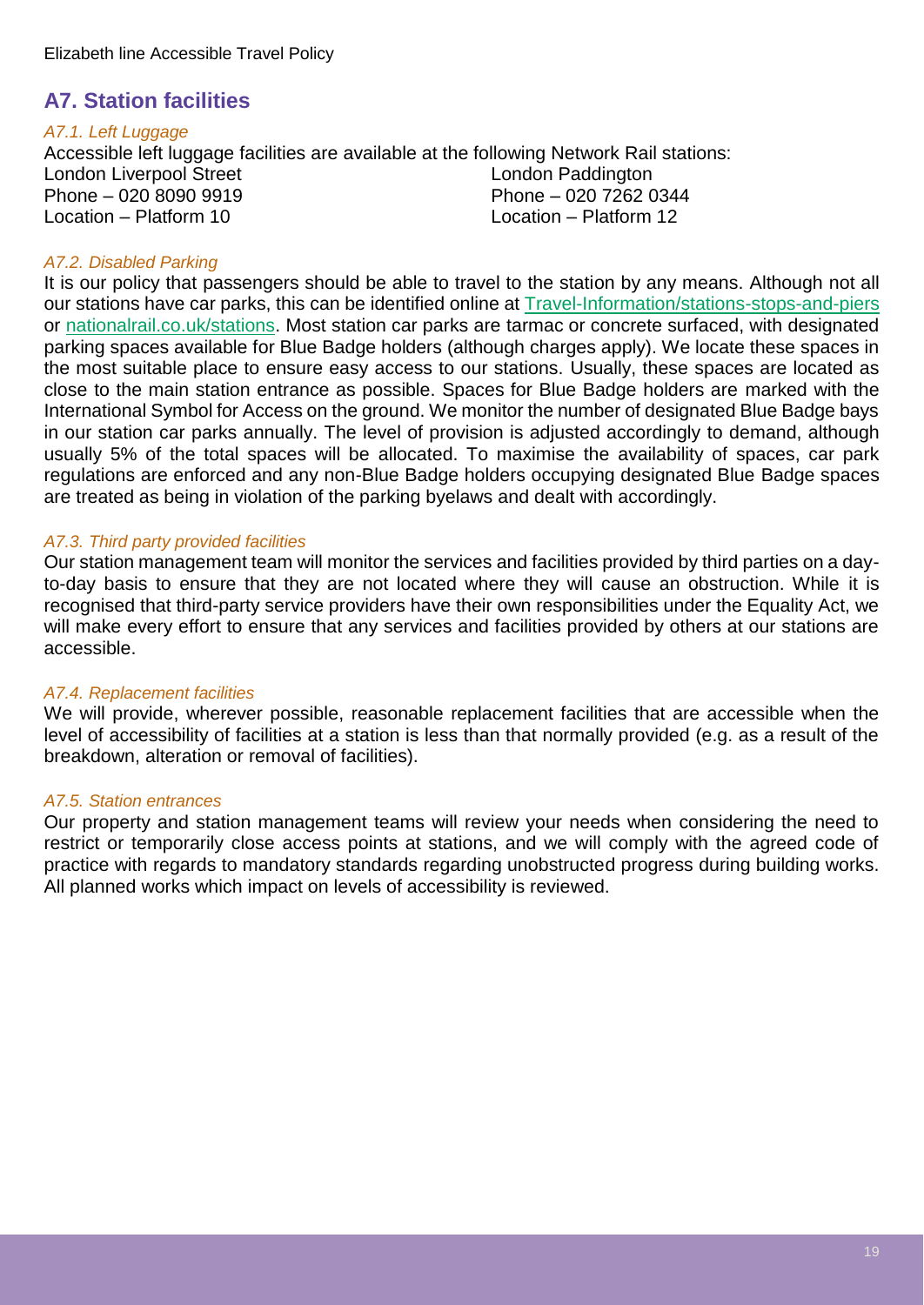## <span id="page-18-0"></span>**A7. Station facilities**

#### *A7.1. Left Luggage*

Accessible left luggage facilities are available at the following Network Rail stations: London Liverpool Street<br>
Phone – 020 8090 9919<br>
Phone – 020 7262 0344 Phone – 020 8090 9919 Location – Platform 10 Location – Platform 12

#### *A7.2. Disabled Parking*

It is our policy that passengers should be able to travel to the station by any means. Although not all our stations have car parks, this can be identified online at [Travel-Information/stations-stops-and-piers](https://tfl.gov.uk/travel-information/stations-stops-and-piers/) or [nationalrail.co.uk/stations.](https://www.nationalrail.co.uk/stations_destinations/default.aspx) Most station car parks are tarmac or concrete surfaced, with designated parking spaces available for Blue Badge holders (although charges apply). We locate these spaces in the most suitable place to ensure easy access to our stations. Usually, these spaces are located as close to the main station entrance as possible. Spaces for Blue Badge holders are marked with the International Symbol for Access on the ground. We monitor the number of designated Blue Badge bays in our station car parks annually. The level of provision is adjusted accordingly to demand, although usually 5% of the total spaces will be allocated. To maximise the availability of spaces, car park regulations are enforced and any non-Blue Badge holders occupying designated Blue Badge spaces are treated as being in violation of the parking byelaws and dealt with accordingly.

#### *A7.3. Third party provided facilities*

Our station management team will monitor the services and facilities provided by third parties on a dayto-day basis to ensure that they are not located where they will cause an obstruction. While it is recognised that third-party service providers have their own responsibilities under the Equality Act, we will make every effort to ensure that any services and facilities provided by others at our stations are accessible.

#### *A7.4. Replacement facilities*

We will provide, wherever possible, reasonable replacement facilities that are accessible when the level of accessibility of facilities at a station is less than that normally provided (e.g. as a result of the breakdown, alteration or removal of facilities).

#### *A7.5. Station entrances*

Our property and station management teams will review your needs when considering the need to restrict or temporarily close access points at stations, and we will comply with the agreed code of practice with regards to mandatory standards regarding unobstructed progress during building works. All planned works which impact on levels of accessibility is reviewed.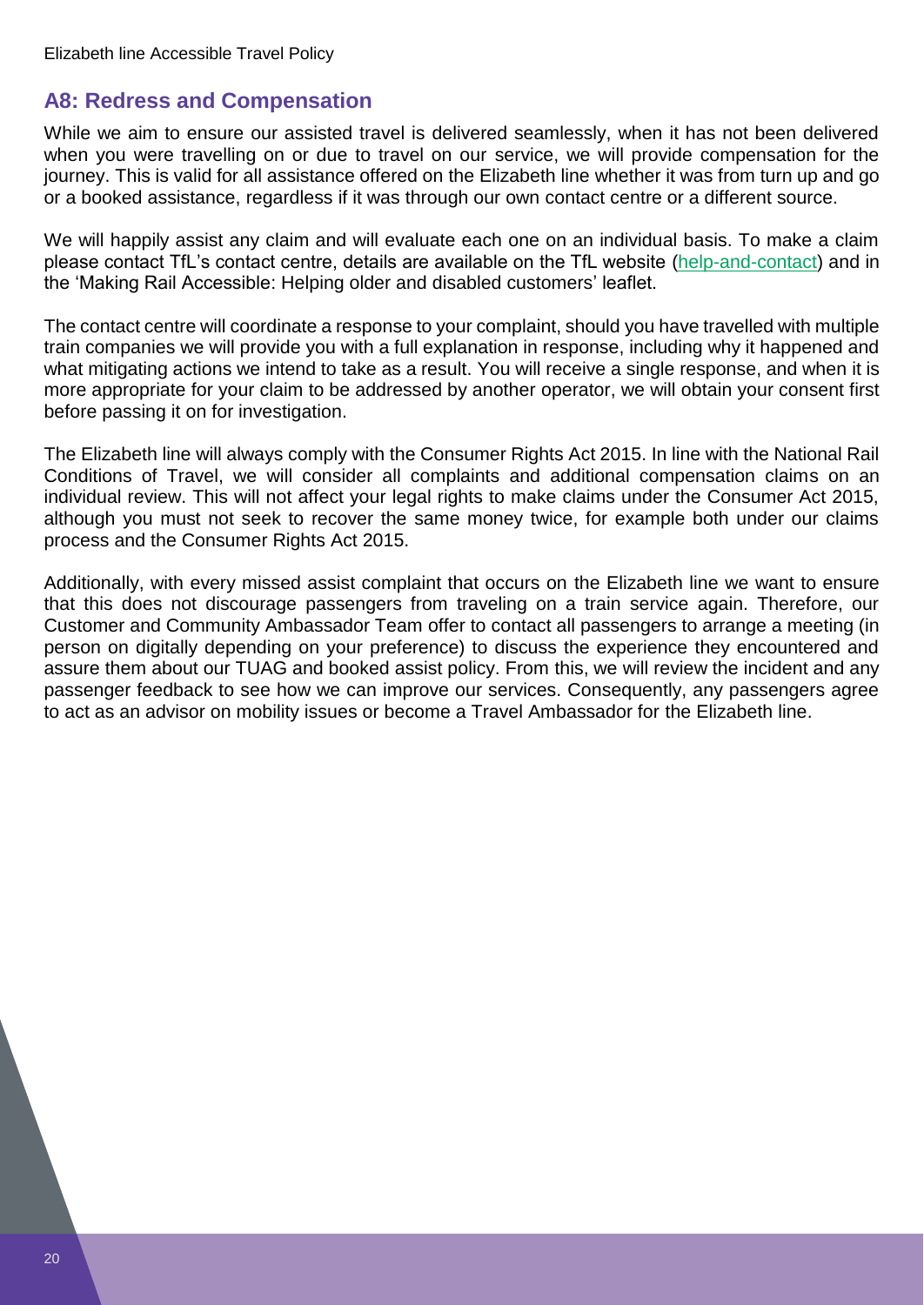## <span id="page-19-0"></span>**A8: Redress and Compensation**

While we aim to ensure our assisted travel is delivered seamlessly, when it has not been delivered when you were travelling on or due to travel on our service, we will provide compensation for the journey. This is valid for all assistance offered on the Elizabeth line whether it was from turn up and go or a booked assistance, regardless if it was through our own contact centre or a different source.

We will happily assist any claim and will evaluate each one on an individual basis. To make a claim please contact TfL's contact centre, details are available on the TfL website [\(help-and-contact\)](https://tfl.gov.uk/help-and-contact/) and in the 'Making Rail Accessible: Helping older and disabled customers' leaflet.

The contact centre will coordinate a response to your complaint, should you have travelled with multiple train companies we will provide you with a full explanation in response, including why it happened and what mitigating actions we intend to take as a result. You will receive a single response, and when it is more appropriate for your claim to be addressed by another operator, we will obtain your consent first before passing it on for investigation.

The Elizabeth line will always comply with the Consumer Rights Act 2015. In line with the National Rail Conditions of Travel, we will consider all complaints and additional compensation claims on an individual review. This will not affect your legal rights to make claims under the Consumer Act 2015, although you must not seek to recover the same money twice, for example both under our claims process and the Consumer Rights Act 2015.

Additionally, with every missed assist complaint that occurs on the Elizabeth line we want to ensure that this does not discourage passengers from traveling on a train service again. Therefore, our Customer and Community Ambassador Team offer to contact all passengers to arrange a meeting (in person on digitally depending on your preference) to discuss the experience they encountered and assure them about our TUAG and booked assist policy. From this, we will review the incident and any passenger feedback to see how we can improve our services. Consequently, any passengers agree to act as an advisor on mobility issues or become a Travel Ambassador for the Elizabeth line.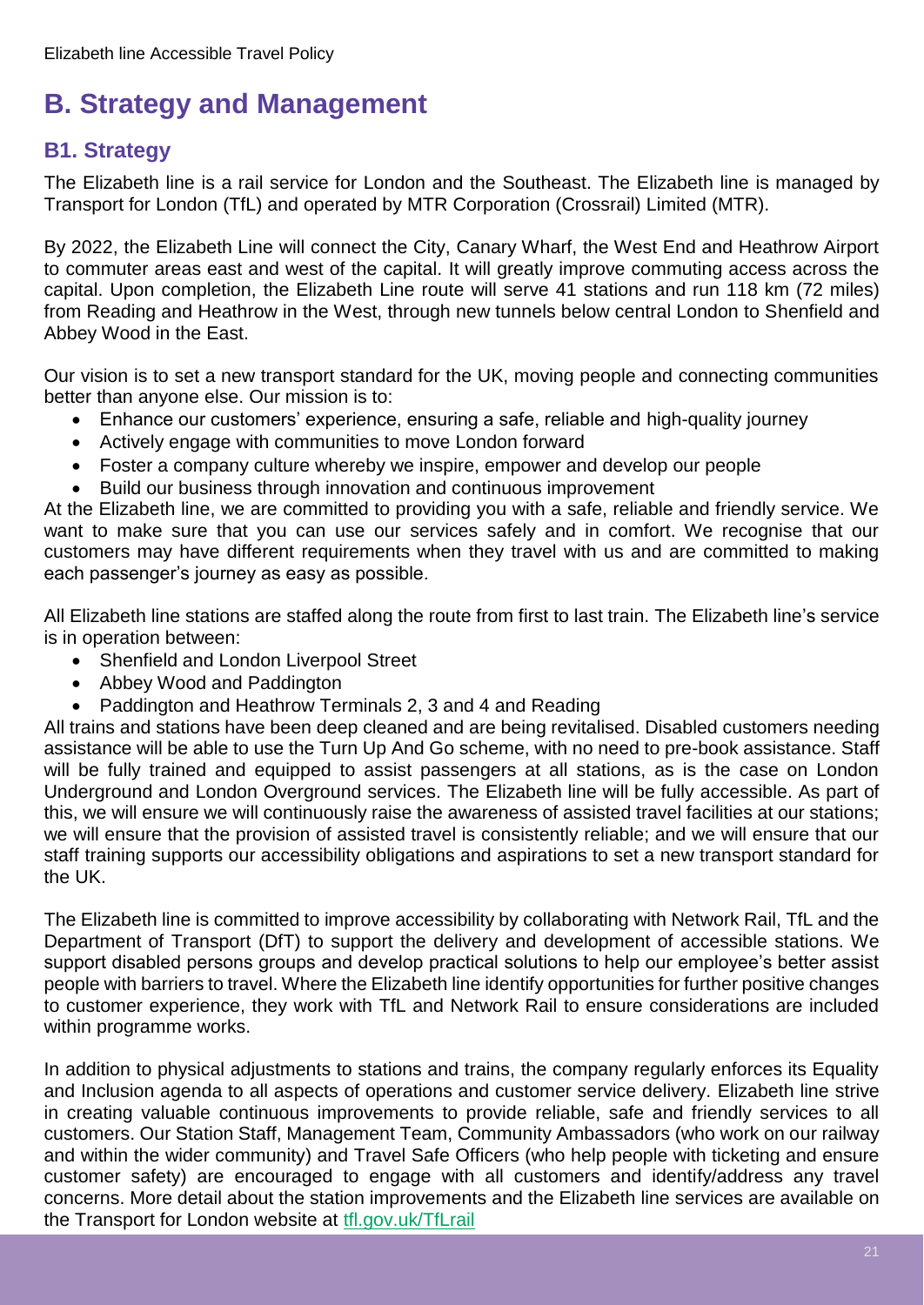## <span id="page-20-0"></span>**B. Strategy and Management**

## <span id="page-20-1"></span>**B1. Strategy**

The Elizabeth line is a rail service for London and the Southeast. The Elizabeth line is managed by Transport for London (TfL) and operated by MTR Corporation (Crossrail) Limited (MTR).

By 2022, the Elizabeth Line will connect the City, Canary Wharf, the West End and Heathrow Airport to commuter areas east and west of the capital. It will greatly improve commuting access across the capital. Upon completion, the Elizabeth Line route will serve 41 stations and run 118 km (72 miles) from Reading and Heathrow in the West, through new tunnels below central London to Shenfield and Abbey Wood in the East.

Our vision is to set a new transport standard for the UK, moving people and connecting communities better than anyone else. Our mission is to:

- Enhance our customers' experience, ensuring a safe, reliable and high-quality journey
- Actively engage with communities to move London forward
- Foster a company culture whereby we inspire, empower and develop our people
- Build our business through innovation and continuous improvement

At the Elizabeth line, we are committed to providing you with a safe, reliable and friendly service. We want to make sure that you can use our services safely and in comfort. We recognise that our customers may have different requirements when they travel with us and are committed to making each passenger's journey as easy as possible.

All Elizabeth line stations are staffed along the route from first to last train. The Elizabeth line's service is in operation between:

- Shenfield and London Liverpool Street
- Abbey Wood and Paddington
- Paddington and Heathrow Terminals 2, 3 and 4 and Reading

All trains and stations have been deep cleaned and are being revitalised. Disabled customers needing assistance will be able to use the Turn Up And Go scheme, with no need to pre-book assistance. Staff will be fully trained and equipped to assist passengers at all stations, as is the case on London Underground and London Overground services. The Elizabeth line will be fully accessible. As part of this, we will ensure we will continuously raise the awareness of assisted travel facilities at our stations; we will ensure that the provision of assisted travel is consistently reliable; and we will ensure that our staff training supports our accessibility obligations and aspirations to set a new transport standard for the UK.

The Elizabeth line is committed to improve accessibility by collaborating with Network Rail, TfL and the Department of Transport (DfT) to support the delivery and development of accessible stations. We support disabled persons groups and develop practical solutions to help our employee's better assist people with barriers to travel. Where the Elizabeth line identify opportunities for further positive changes to customer experience, they work with TfL and Network Rail to ensure considerations are included within programme works.

In addition to physical adjustments to stations and trains, the company regularly enforces its Equality and Inclusion agenda to all aspects of operations and customer service delivery. Elizabeth line strive in creating valuable continuous improvements to provide reliable, safe and friendly services to all customers. Our Station Staff, Management Team, Community Ambassadors (who work on our railway and within the wider community) and Travel Safe Officers (who help people with ticketing and ensure customer safety) are encouraged to engage with all customers and identify/address any travel concerns. More detail about the station improvements and the Elizabeth line services are available on the Transport for London website at [tfl.gov.uk/TfLrail](https://tfl.gov.uk/modes/tfl-rail/?cid=tflrail)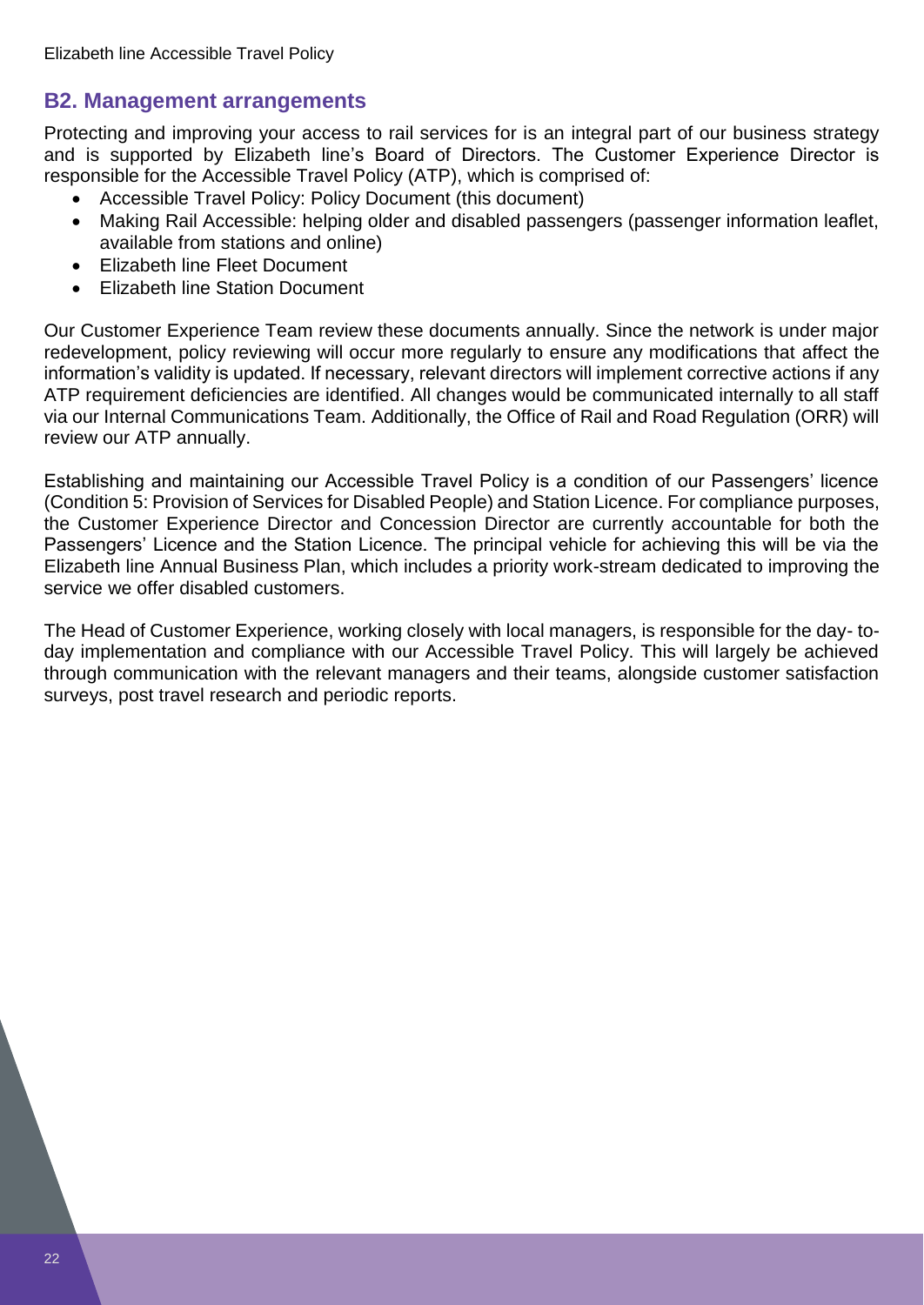## <span id="page-21-0"></span>**B2. Management arrangements**

Protecting and improving your access to rail services for is an integral part of our business strategy and is supported by Elizabeth line's Board of Directors. The Customer Experience Director is responsible for the Accessible Travel Policy (ATP), which is comprised of:

- Accessible Travel Policy: Policy Document (this document)
- Making Rail Accessible: helping older and disabled passengers (passenger information leaflet, available from stations and online)
- Elizabeth line Fleet Document
- Elizabeth line Station Document

Our Customer Experience Team review these documents annually. Since the network is under major redevelopment, policy reviewing will occur more regularly to ensure any modifications that affect the information's validity is updated. If necessary, relevant directors will implement corrective actions if any ATP requirement deficiencies are identified. All changes would be communicated internally to all staff via our Internal Communications Team. Additionally, the Office of Rail and Road Regulation (ORR) will review our ATP annually.

Establishing and maintaining our Accessible Travel Policy is a condition of our Passengers' licence (Condition 5: Provision of Services for Disabled People) and Station Licence. For compliance purposes, the Customer Experience Director and Concession Director are currently accountable for both the Passengers' Licence and the Station Licence. The principal vehicle for achieving this will be via the Elizabeth line Annual Business Plan, which includes a priority work-stream dedicated to improving the service we offer disabled customers.

The Head of Customer Experience, working closely with local managers, is responsible for the day- today implementation and compliance with our Accessible Travel Policy. This will largely be achieved through communication with the relevant managers and their teams, alongside customer satisfaction surveys, post travel research and periodic reports.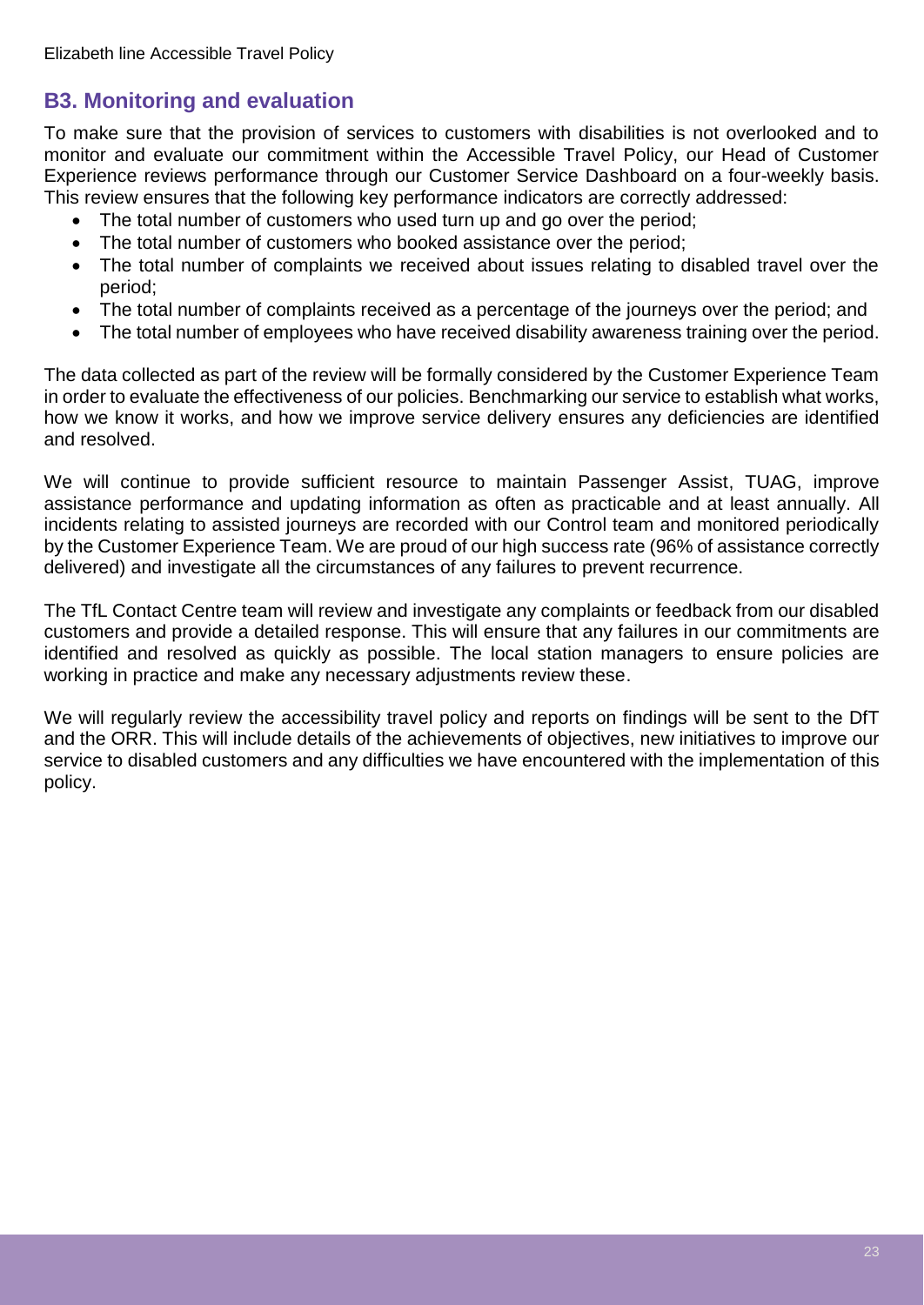## <span id="page-22-0"></span>**B3. Monitoring and evaluation**

To make sure that the provision of services to customers with disabilities is not overlooked and to monitor and evaluate our commitment within the Accessible Travel Policy, our Head of Customer Experience reviews performance through our Customer Service Dashboard on a four-weekly basis. This review ensures that the following key performance indicators are correctly addressed:

- The total number of customers who used turn up and go over the period;
- The total number of customers who booked assistance over the period;
- The total number of complaints we received about issues relating to disabled travel over the period;
- The total number of complaints received as a percentage of the journeys over the period; and
- The total number of employees who have received disability awareness training over the period.

The data collected as part of the review will be formally considered by the Customer Experience Team in order to evaluate the effectiveness of our policies. Benchmarking our service to establish what works, how we know it works, and how we improve service delivery ensures any deficiencies are identified and resolved.

We will continue to provide sufficient resource to maintain Passenger Assist, TUAG, improve assistance performance and updating information as often as practicable and at least annually. All incidents relating to assisted journeys are recorded with our Control team and monitored periodically by the Customer Experience Team. We are proud of our high success rate (96% of assistance correctly delivered) and investigate all the circumstances of any failures to prevent recurrence.

The TfL Contact Centre team will review and investigate any complaints or feedback from our disabled customers and provide a detailed response. This will ensure that any failures in our commitments are identified and resolved as quickly as possible. The local station managers to ensure policies are working in practice and make any necessary adjustments review these.

We will regularly review the accessibility travel policy and reports on findings will be sent to the DfT and the ORR. This will include details of the achievements of objectives, new initiatives to improve our service to disabled customers and any difficulties we have encountered with the implementation of this policy.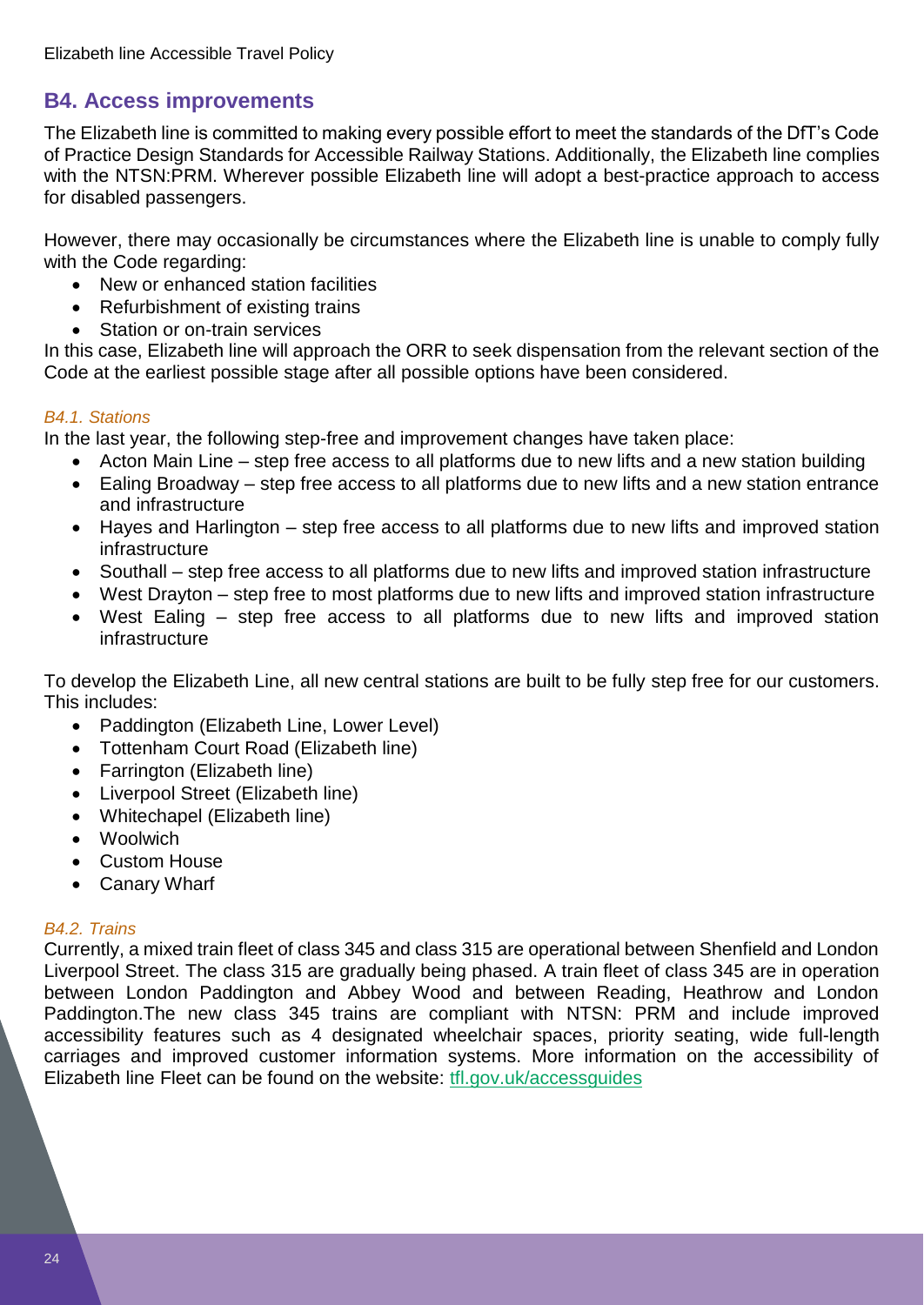## <span id="page-23-0"></span>**B4. Access improvements**

The Elizabeth line is committed to making every possible effort to meet the standards of the DfT's Code of Practice Design Standards for Accessible Railway Stations. Additionally, the Elizabeth line complies with the NTSN:PRM. Wherever possible Elizabeth line will adopt a best-practice approach to access for disabled passengers.

However, there may occasionally be circumstances where the Elizabeth line is unable to comply fully with the Code regarding:

- New or enhanced station facilities
- Refurbishment of existing trains
- Station or on-train services

In this case, Elizabeth line will approach the ORR to seek dispensation from the relevant section of the Code at the earliest possible stage after all possible options have been considered.

#### *B4.1. Stations*

In the last year, the following step-free and improvement changes have taken place:

- Acton Main Line step free access to all platforms due to new lifts and a new station building
- Ealing Broadway step free access to all platforms due to new lifts and a new station entrance and infrastructure
- Hayes and Harlington step free access to all platforms due to new lifts and improved station infrastructure
- Southall step free access to all platforms due to new lifts and improved station infrastructure
- West Drayton step free to most platforms due to new lifts and improved station infrastructure
- West Ealing step free access to all platforms due to new lifts and improved station infrastructure

To develop the Elizabeth Line, all new central stations are built to be fully step free for our customers. This includes:

- Paddington (Elizabeth Line, Lower Level)
- Tottenham Court Road (Elizabeth line)
- Farrington (Elizabeth line)
- Liverpool Street (Elizabeth line)
- Whitechapel (Elizabeth line)
- Woolwich
- Custom House
- Canary Wharf

#### *B4.2. Trains*

Currently, a mixed train fleet of class 345 and class 315 are operational between Shenfield and London Liverpool Street. The class 315 are gradually being phased. A train fleet of class 345 are in operation between London Paddington and Abbey Wood and between Reading, Heathrow and London Paddington.The new class 345 trains are compliant with NTSN: PRM and include improved accessibility features such as 4 designated wheelchair spaces, priority seating, wide full-length carriages and improved customer information systems. More information on the accessibility of Elizabeth line Fleet can be found on the website: [tfl.gov.uk/accessguides](https://tfl.gov.uk/forms/12387.aspx?cid=accessguides)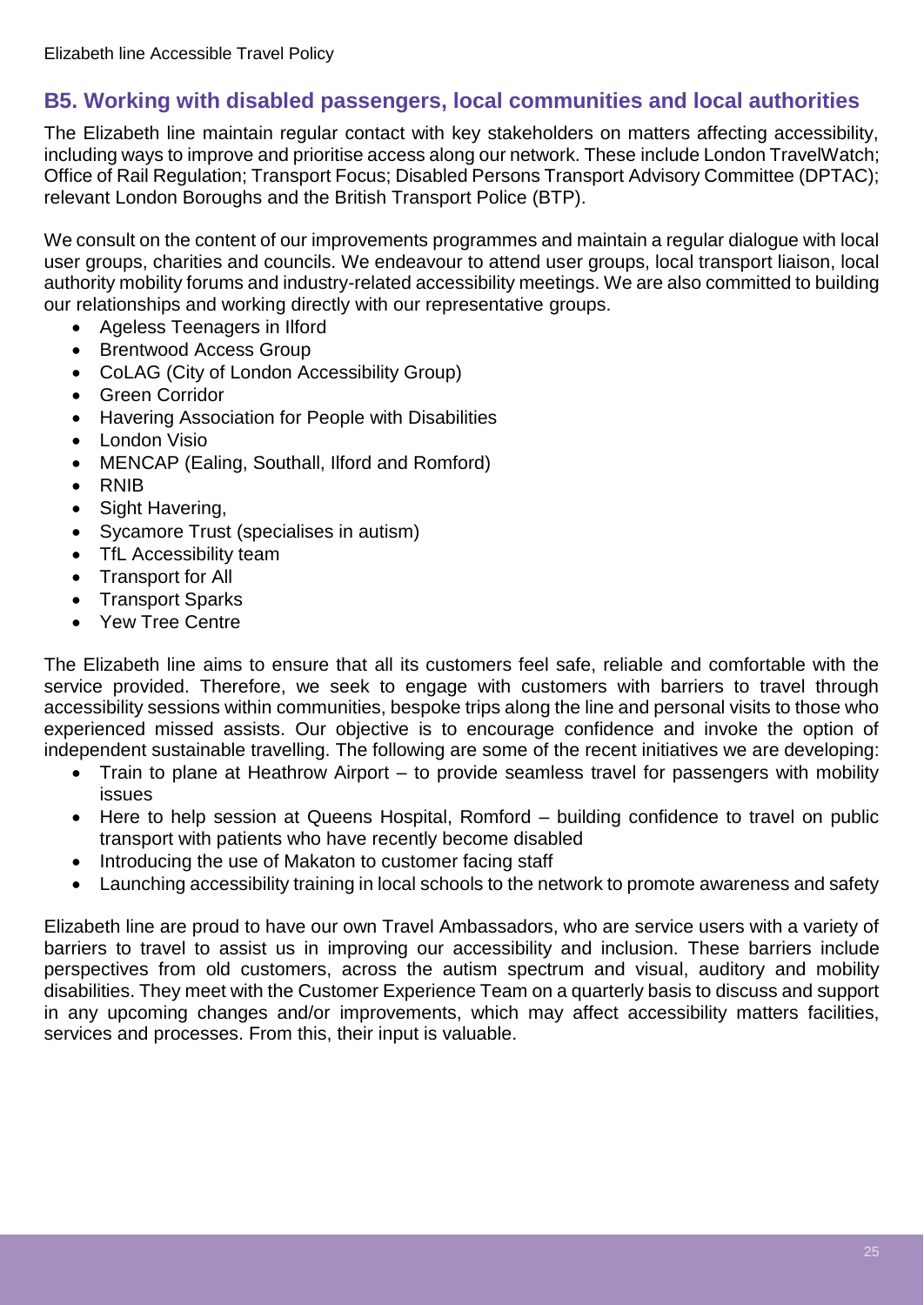## <span id="page-24-0"></span>**B5. Working with disabled passengers, local communities and local authorities**

The Elizabeth line maintain regular contact with key stakeholders on matters affecting accessibility, including ways to improve and prioritise access along our network. These include London TravelWatch; Office of Rail Regulation; Transport Focus; Disabled Persons Transport Advisory Committee (DPTAC); relevant London Boroughs and the British Transport Police (BTP).

We consult on the content of our improvements programmes and maintain a regular dialogue with local user groups, charities and councils. We endeavour to attend user groups, local transport liaison, local authority mobility forums and industry-related accessibility meetings. We are also committed to building our relationships and working directly with our representative groups.

- Ageless Teenagers in Ilford
- Brentwood Access Group
- CoLAG (City of London Accessibility Group)
- Green Corridor
- Havering Association for People with Disabilities
- London Visio
- MENCAP (Ealing, Southall, Ilford and Romford)
- RNIB
- Sight Havering,
- Sycamore Trust (specialises in autism)
- TfL Accessibility team
- Transport for All
- Transport Sparks
- Yew Tree Centre

The Elizabeth line aims to ensure that all its customers feel safe, reliable and comfortable with the service provided. Therefore, we seek to engage with customers with barriers to travel through accessibility sessions within communities, bespoke trips along the line and personal visits to those who experienced missed assists. Our objective is to encourage confidence and invoke the option of independent sustainable travelling. The following are some of the recent initiatives we are developing:

- Train to plane at Heathrow Airport to provide seamless travel for passengers with mobility issues
- Here to help session at Queens Hospital, Romford building confidence to travel on public transport with patients who have recently become disabled
- Introducing the use of Makaton to customer facing staff
- Launching accessibility training in local schools to the network to promote awareness and safety

Elizabeth line are proud to have our own Travel Ambassadors, who are service users with a variety of barriers to travel to assist us in improving our accessibility and inclusion. These barriers include perspectives from old customers, across the autism spectrum and visual, auditory and mobility disabilities. They meet with the Customer Experience Team on a quarterly basis to discuss and support in any upcoming changes and/or improvements, which may affect accessibility matters facilities, services and processes. From this, their input is valuable.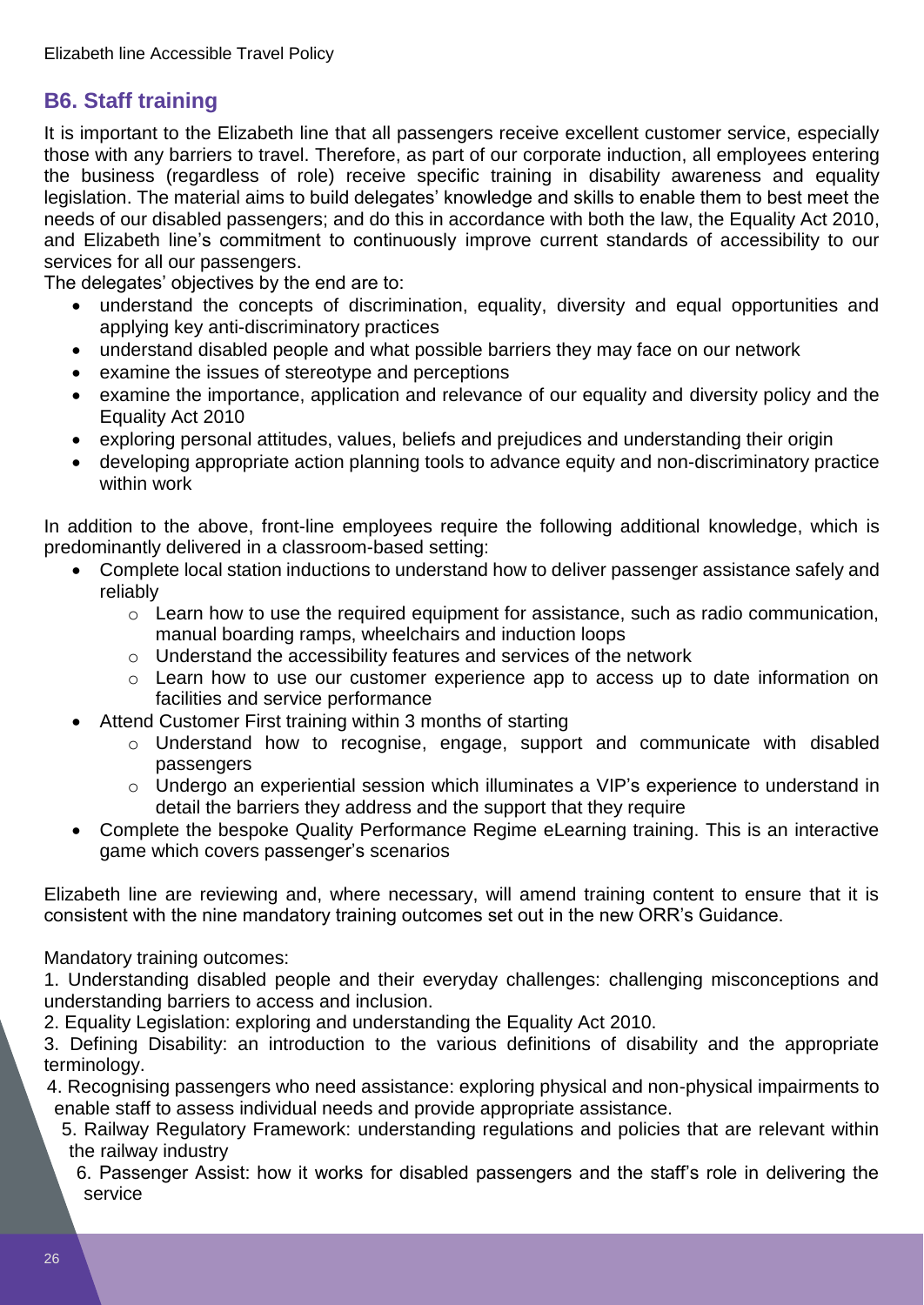## <span id="page-25-0"></span>**B6. Staff training**

It is important to the Elizabeth line that all passengers receive excellent customer service, especially those with any barriers to travel. Therefore, as part of our corporate induction, all employees entering the business (regardless of role) receive specific training in disability awareness and equality legislation. The material aims to build delegates' knowledge and skills to enable them to best meet the needs of our disabled passengers; and do this in accordance with both the law, the Equality Act 2010, and Elizabeth line's commitment to continuously improve current standards of accessibility to our services for all our passengers.

The delegates' objectives by the end are to:

- understand the concepts of discrimination, equality, diversity and equal opportunities and applying key anti-discriminatory practices
- understand disabled people and what possible barriers they may face on our network
- examine the issues of stereotype and perceptions
- examine the importance, application and relevance of our equality and diversity policy and the Equality Act 2010
- exploring personal attitudes, values, beliefs and prejudices and understanding their origin
- developing appropriate action planning tools to advance equity and non-discriminatory practice within work

In addition to the above, front-line employees require the following additional knowledge, which is predominantly delivered in a classroom-based setting:

- Complete local station inductions to understand how to deliver passenger assistance safely and reliably
	- o Learn how to use the required equipment for assistance, such as radio communication, manual boarding ramps, wheelchairs and induction loops
	- o Understand the accessibility features and services of the network
	- o Learn how to use our customer experience app to access up to date information on facilities and service performance
- Attend Customer First training within 3 months of starting
	- o Understand how to recognise, engage, support and communicate with disabled passengers
	- o Undergo an experiential session which illuminates a VIP's experience to understand in detail the barriers they address and the support that they require
- Complete the bespoke Quality Performance Regime eLearning training. This is an interactive game which covers passenger's scenarios

Elizabeth line are reviewing and, where necessary, will amend training content to ensure that it is consistent with the nine mandatory training outcomes set out in the new ORR's Guidance.

Mandatory training outcomes:

1. Understanding disabled people and their everyday challenges: challenging misconceptions and understanding barriers to access and inclusion.

2. Equality Legislation: exploring and understanding the Equality Act 2010.

3. Defining Disability: an introduction to the various definitions of disability and the appropriate terminology.

4. Recognising passengers who need assistance: exploring physical and non-physical impairments to enable staff to assess individual needs and provide appropriate assistance.

- 5. Railway Regulatory Framework: understanding regulations and policies that are relevant within the railway industry
	- 6. Passenger Assist: how it works for disabled passengers and the staff's role in delivering the service